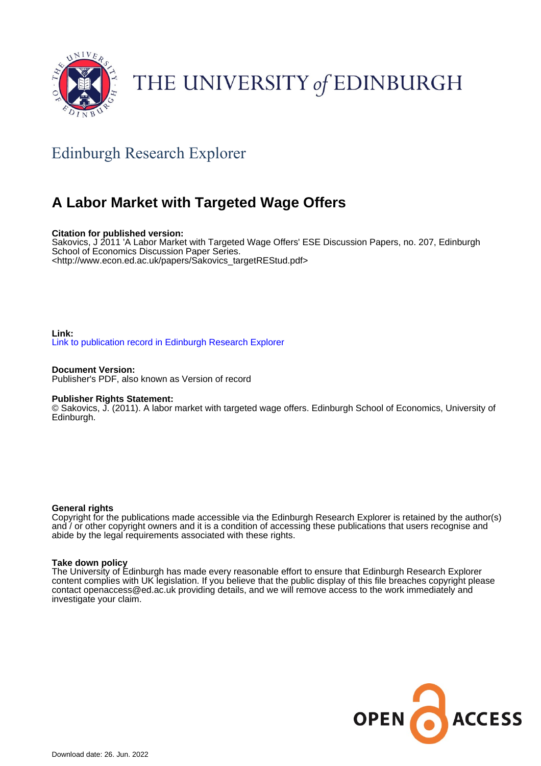

# THE UNIVERSITY of EDINBURGH

## Edinburgh Research Explorer

## **A Labor Market with Targeted Wage Offers**

### **Citation for published version:**

Sakovics, J 2011 'A Labor Market with Targeted Wage Offers' ESE Discussion Papers, no. 207, Edinburgh School of Economics Discussion Paper Series. <[http://www.econ.ed.ac.uk/papers/Sakovics\\_targetREStud.pdf>](http://www.econ.ed.ac.uk/papers/Sakovics_targetREStud.pdf)

#### **Link:** [Link to publication record in Edinburgh Research Explorer](https://www.research.ed.ac.uk/en/publications/090c97c7-5dfa-464e-af61-8164d14cf9a0)

**Document Version:** Publisher's PDF, also known as Version of record

#### **Publisher Rights Statement:**

© Sakovics, J. (2011). A labor market with targeted wage offers. Edinburgh School of Economics, University of Edinburgh.

#### **General rights**

Copyright for the publications made accessible via the Edinburgh Research Explorer is retained by the author(s) and / or other copyright owners and it is a condition of accessing these publications that users recognise and abide by the legal requirements associated with these rights.

#### **Take down policy**

The University of Edinburgh has made every reasonable effort to ensure that Edinburgh Research Explorer content complies with UK legislation. If you believe that the public display of this file breaches copyright please contact openaccess@ed.ac.uk providing details, and we will remove access to the work immediately and investigate your claim.

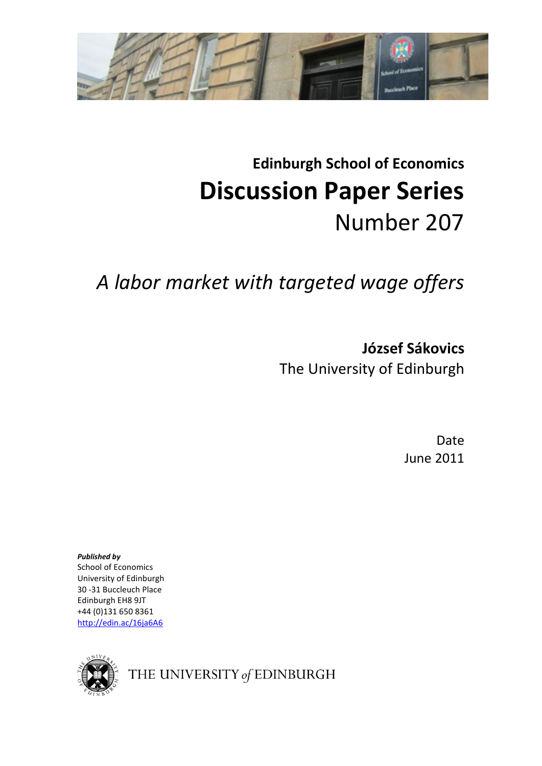

# **Edinburgh School of Economics Discussion Paper Series**  Number 207

# *A labor market with targeted wage offers*

**József Sákovics** The University of Edinburgh

> Date June 2011

*Published by* School of Economics University of Edinburgh 30 -31 Buccleuch Place Edinburgh EH8 9JT +44 (0)131 650 8361 http://edin.ac/16ja6A6



THE UNIVERSITY of EDINBURGH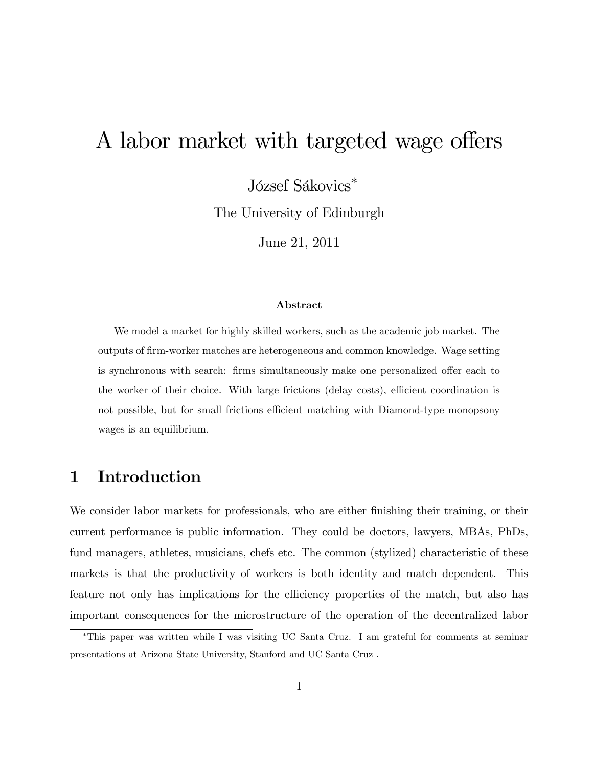# A labor market with targeted wage offers

József Sákovics\*

The University of Edinburgh

June 21, 2011

#### Abstract

We model a market for highly skilled workers, such as the academic job market. The outputs of Örm-worker matches are heterogeneous and common knowledge. Wage setting is synchronous with search: firms simultaneously make one personalized offer each to the worker of their choice. With large frictions (delay costs), efficient coordination is not possible, but for small frictions efficient matching with Diamond-type monopsony wages is an equilibrium.

## 1 Introduction

We consider labor markets for professionals, who are either finishing their training, or their current performance is public information. They could be doctors, lawyers, MBAs, PhDs, fund managers, athletes, musicians, chefs etc. The common (stylized) characteristic of these markets is that the productivity of workers is both identity and match dependent. This feature not only has implications for the efficiency properties of the match, but also has important consequences for the microstructure of the operation of the decentralized labor

This paper was written while I was visiting UC Santa Cruz. I am grateful for comments at seminar presentations at Arizona State University, Stanford and UC Santa Cruz .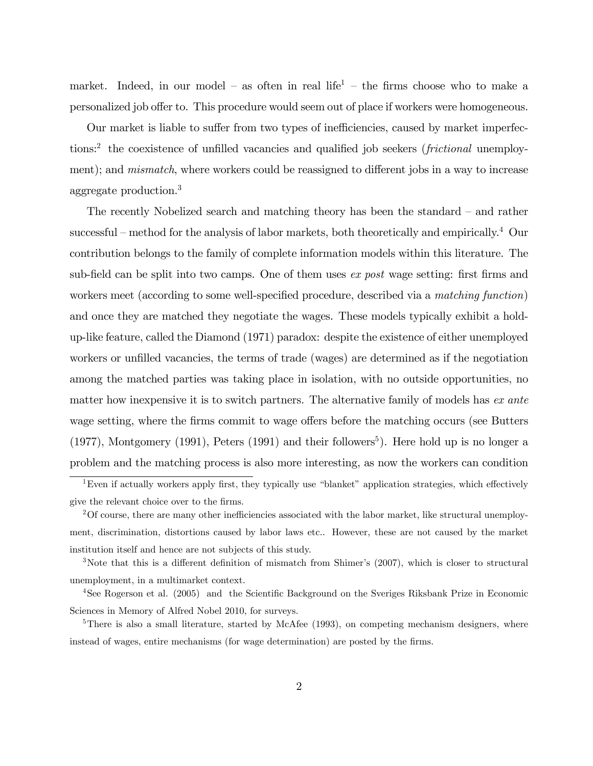market. Indeed, in our model – as often in real life<sup>1</sup> – the firms choose who to make a personalized job offer to. This procedure would seem out of place if workers were homogeneous.

Our market is liable to suffer from two types of inefficiencies, caused by market imperfections:<sup>2</sup> the coexistence of unfilled vacancies and qualified job seekers (*frictional* unemployment); and *mismatch*, where workers could be reassigned to different jobs in a way to increase aggregate production.<sup>3</sup>

The recently Nobelized search and matching theory has been the standard  $-$  and rather successful – method for the analysis of labor markets, both theoretically and empirically.<sup>4</sup> Our contribution belongs to the family of complete information models within this literature. The sub-field can be split into two camps. One of them uses  $ex$  post wage setting: first firms and workers meet (according to some well-specified procedure, described via a matching function) and once they are matched they negotiate the wages. These models typically exhibit a holdup-like feature, called the Diamond (1971) paradox: despite the existence of either unemployed workers or unfilled vacancies, the terms of trade (wages) are determined as if the negotiation among the matched parties was taking place in isolation, with no outside opportunities, no matter how inexpensive it is to switch partners. The alternative family of models has ex ante wage setting, where the firms commit to wage offers before the matching occurs (see Butters  $(1977)$ , Montgomery  $(1991)$ , Peters  $(1991)$  and their followers<sup>5</sup>). Here hold up is no longer a problem and the matching process is also more interesting, as now the workers can condition

<sup>&</sup>lt;sup>1</sup>Even if actually workers apply first, they typically use "blanket" application strategies, which effectively give the relevant choice over to the firms.

<sup>&</sup>lt;sup>2</sup>Of course, there are many other inefficiencies associated with the labor market, like structural unemployment, discrimination, distortions caused by labor laws etc.. However, these are not caused by the market institution itself and hence are not subjects of this study.

<sup>&</sup>lt;sup>3</sup>Note that this is a different definition of mismatch from Shimer's (2007), which is closer to structural unemployment, in a multimarket context.

<sup>&</sup>lt;sup>4</sup>See Rogerson et al. (2005) and the Scientific Background on the Sveriges Riksbank Prize in Economic Sciences in Memory of Alfred Nobel 2010, for surveys.

<sup>&</sup>lt;sup>5</sup>There is also a small literature, started by McAfee (1993), on competing mechanism designers, where instead of wages, entire mechanisms (for wage determination) are posted by the firms.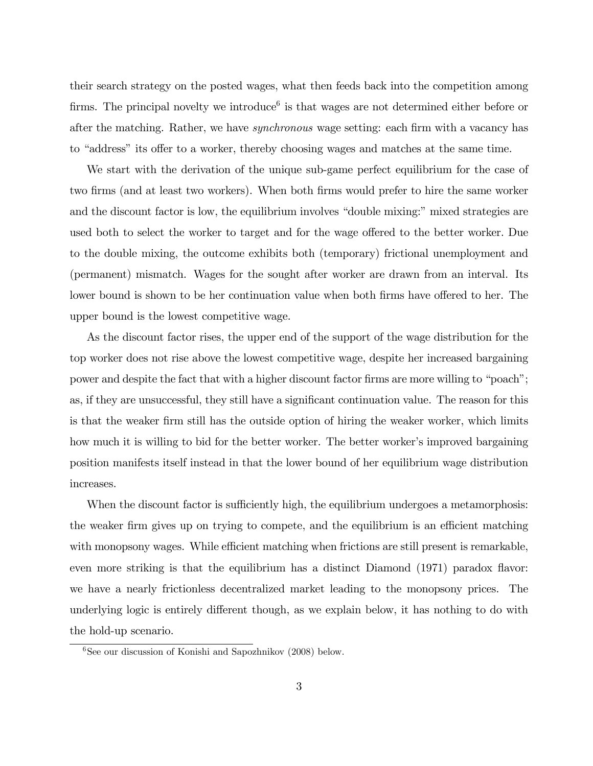their search strategy on the posted wages, what then feeds back into the competition among firms. The principal novelty we introduce<sup> $6$ </sup> is that wages are not determined either before or after the matching. Rather, we have *synchronous* wage setting: each firm with a vacancy has to "address" its offer to a worker, thereby choosing wages and matches at the same time.

We start with the derivation of the unique sub-game perfect equilibrium for the case of two firms (and at least two workers). When both firms would prefer to hire the same worker and the discount factor is low, the equilibrium involves "double mixing:" mixed strategies are used both to select the worker to target and for the wage offered to the better worker. Due to the double mixing, the outcome exhibits both (temporary) frictional unemployment and (permanent) mismatch. Wages for the sought after worker are drawn from an interval. Its lower bound is shown to be her continuation value when both firms have offered to her. The upper bound is the lowest competitive wage.

As the discount factor rises, the upper end of the support of the wage distribution for the top worker does not rise above the lowest competitive wage, despite her increased bargaining power and despite the fact that with a higher discount factor firms are more willing to "poach"; as, if they are unsuccessful, they still have a significant continuation value. The reason for this is that the weaker Örm still has the outside option of hiring the weaker worker, which limits how much it is willing to bid for the better worker. The better worker's improved bargaining position manifests itself instead in that the lower bound of her equilibrium wage distribution increases.

When the discount factor is sufficiently high, the equilibrium undergoes a metamorphosis: the weaker firm gives up on trying to compete, and the equilibrium is an efficient matching with monopsony wages. While efficient matching when frictions are still present is remarkable, even more striking is that the equilibrium has a distinct Diamond (1971) paradox flavor: we have a nearly frictionless decentralized market leading to the monopsony prices. The underlying logic is entirely different though, as we explain below, it has nothing to do with the hold-up scenario.

 $6$ See our discussion of Konishi and Sapozhnikov (2008) below.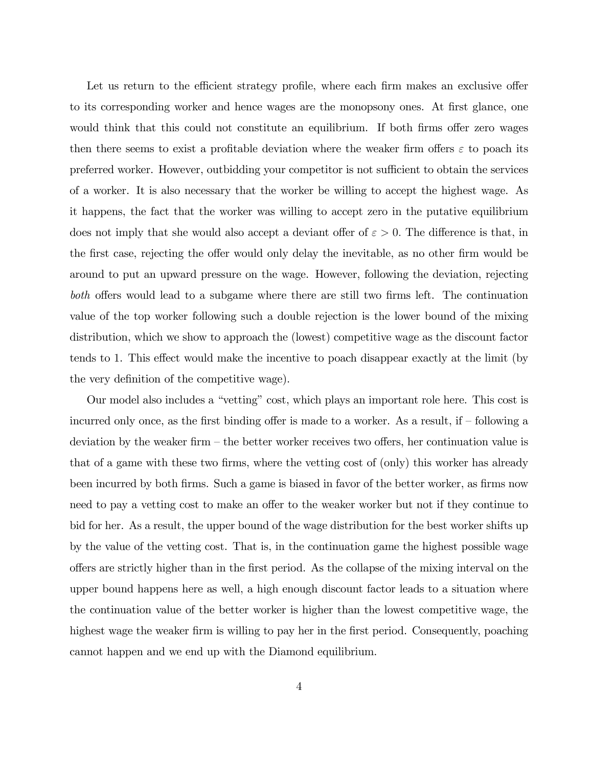Let us return to the efficient strategy profile, where each firm makes an exclusive offer to its corresponding worker and hence wages are the monopsony ones. At first glance, one would think that this could not constitute an equilibrium. If both firms offer zero wages then there seems to exist a profitable deviation where the weaker firm offers  $\varepsilon$  to poach its preferred worker. However, outbidding your competitor is not sufficient to obtain the services of a worker. It is also necessary that the worker be willing to accept the highest wage. As it happens, the fact that the worker was willing to accept zero in the putative equilibrium does not imply that she would also accept a deviant offer of  $\varepsilon > 0$ . The difference is that, in the first case, rejecting the offer would only delay the inevitable, as no other firm would be around to put an upward pressure on the wage. However, following the deviation, rejecting both offers would lead to a subgame where there are still two firms left. The continuation value of the top worker following such a double rejection is the lower bound of the mixing distribution, which we show to approach the (lowest) competitive wage as the discount factor tends to 1. This effect would make the incentive to poach disappear exactly at the limit (by the very definition of the competitive wage).

Our model also includes a "vetting" cost, which plays an important role here. This cost is incurred only once, as the first binding offer is made to a worker. As a result, if  $\sim$  following a deviation by the weaker firm  $-$  the better worker receives two offers, her continuation value is that of a game with these two Örms, where the vetting cost of (only) this worker has already been incurred by both firms. Such a game is biased in favor of the better worker, as firms now need to pay a vetting cost to make an offer to the weaker worker but not if they continue to bid for her. As a result, the upper bound of the wage distribution for the best worker shifts up by the value of the vetting cost. That is, in the continuation game the highest possible wage offers are strictly higher than in the first period. As the collapse of the mixing interval on the upper bound happens here as well, a high enough discount factor leads to a situation where the continuation value of the better worker is higher than the lowest competitive wage, the highest wage the weaker firm is willing to pay her in the first period. Consequently, poaching cannot happen and we end up with the Diamond equilibrium.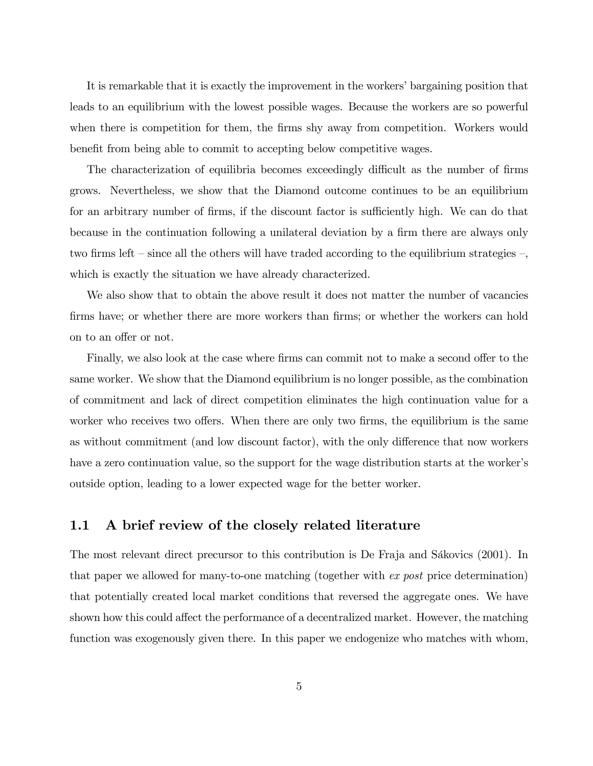It is remarkable that it is exactly the improvement in the workers' bargaining position that leads to an equilibrium with the lowest possible wages. Because the workers are so powerful when there is competition for them, the firms shy away from competition. Workers would benefit from being able to commit to accepting below competitive wages.

The characterization of equilibria becomes exceedingly difficult as the number of firms grows. Nevertheless, we show that the Diamond outcome continues to be an equilibrium for an arbitrary number of firms, if the discount factor is sufficiently high. We can do that because in the continuation following a unilateral deviation by a firm there are always only two firms left  $\sim$  since all the others will have traded according to the equilibrium strategies  $\sim$ , which is exactly the situation we have already characterized.

We also show that to obtain the above result it does not matter the number of vacancies firms have; or whether there are more workers than firms; or whether the workers can hold on to an offer or not.

Finally, we also look at the case where firms can commit not to make a second offer to the same worker. We show that the Diamond equilibrium is no longer possible, as the combination of commitment and lack of direct competition eliminates the high continuation value for a worker who receives two offers. When there are only two firms, the equilibrium is the same as without commitment (and low discount factor), with the only difference that now workers have a zero continuation value, so the support for the wage distribution starts at the worker's outside option, leading to a lower expected wage for the better worker.

## 1.1 A brief review of the closely related literature

The most relevant direct precursor to this contribution is De Fraja and Sákovics (2001). In that paper we allowed for many-to-one matching (together with ex post price determination) that potentially created local market conditions that reversed the aggregate ones. We have shown how this could affect the performance of a decentralized market. However, the matching function was exogenously given there. In this paper we endogenize who matches with whom,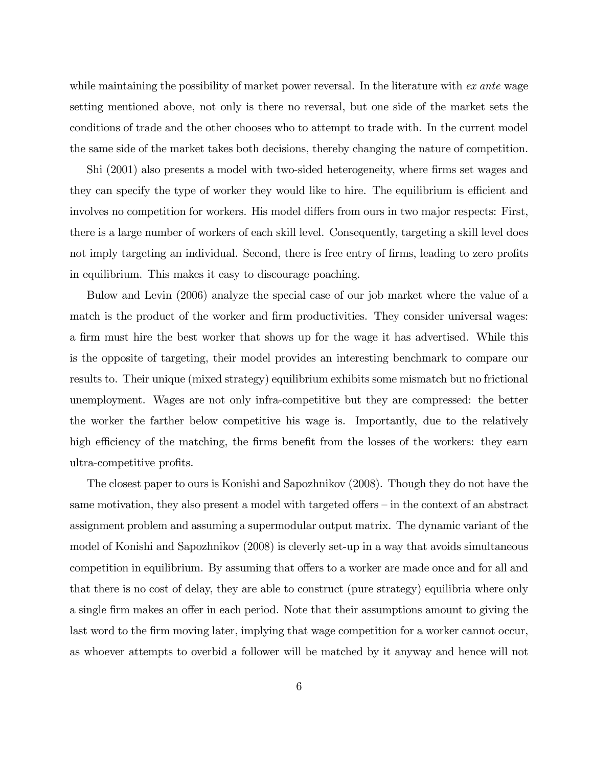while maintaining the possibility of market power reversal. In the literature with  $ex$  ante wage setting mentioned above, not only is there no reversal, but one side of the market sets the conditions of trade and the other chooses who to attempt to trade with. In the current model the same side of the market takes both decisions, thereby changing the nature of competition.

Shi (2001) also presents a model with two-sided heterogeneity, where firms set wages and they can specify the type of worker they would like to hire. The equilibrium is efficient and involves no competition for workers. His model differs from ours in two major respects: First, there is a large number of workers of each skill level. Consequently, targeting a skill level does not imply targeting an individual. Second, there is free entry of firms, leading to zero profits in equilibrium. This makes it easy to discourage poaching.

Bulow and Levin (2006) analyze the special case of our job market where the value of a match is the product of the worker and firm productivities. They consider universal wages: a firm must hire the best worker that shows up for the wage it has advertised. While this is the opposite of targeting, their model provides an interesting benchmark to compare our results to. Their unique (mixed strategy) equilibrium exhibits some mismatch but no frictional unemployment. Wages are not only infra-competitive but they are compressed: the better the worker the farther below competitive his wage is. Importantly, due to the relatively high efficiency of the matching, the firms benefit from the losses of the workers: they earn ultra-competitive profits.

The closest paper to ours is Konishi and Sapozhnikov (2008). Though they do not have the same motivation, they also present a model with targeted offers  $-\text{in}$  the context of an abstract assignment problem and assuming a supermodular output matrix. The dynamic variant of the model of Konishi and Sapozhnikov (2008) is cleverly set-up in a way that avoids simultaneous competition in equilibrium. By assuming that offers to a worker are made once and for all and that there is no cost of delay, they are able to construct (pure strategy) equilibria where only a single firm makes an offer in each period. Note that their assumptions amount to giving the last word to the firm moving later, implying that wage competition for a worker cannot occur, as whoever attempts to overbid a follower will be matched by it anyway and hence will not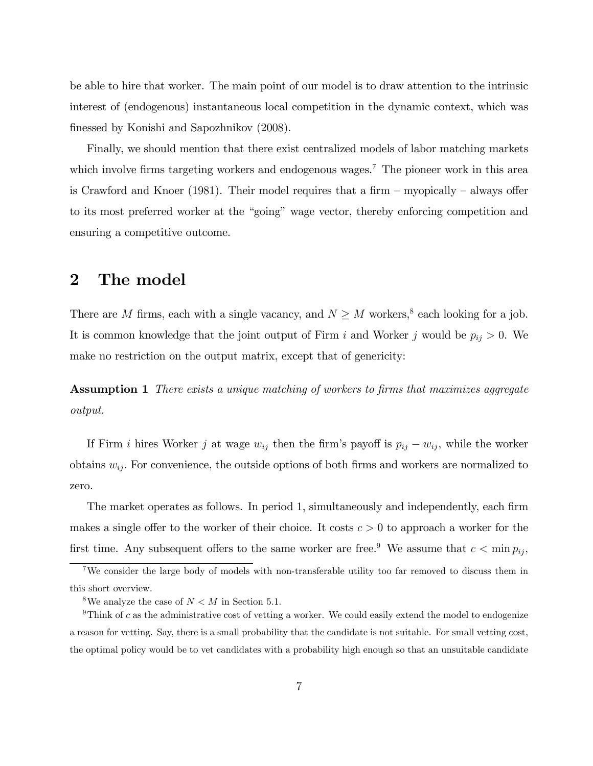be able to hire that worker. The main point of our model is to draw attention to the intrinsic interest of (endogenous) instantaneous local competition in the dynamic context, which was finessed by Konishi and Sapozhnikov (2008).

Finally, we should mention that there exist centralized models of labor matching markets which involve firms targeting workers and endogenous wages.<sup>7</sup> The pioneer work in this area is Crawford and Knoer (1981). Their model requires that a firm  $-$  myopically  $-$  always offer to its most preferred worker at the "going" wage vector, thereby enforcing competition and ensuring a competitive outcome.

## 2 The model

There are M firms, each with a single vacancy, and  $N \geq M$  workers,<sup>8</sup> each looking for a job. It is common knowledge that the joint output of Firm i and Worker j would be  $p_{ij} > 0$ . We make no restriction on the output matrix, except that of genericity:

Assumption 1 There exists a unique matching of workers to firms that maximizes aggregate output.

If Firm i hires Worker j at wage  $w_{ij}$  then the firm's payoff is  $p_{ij} - w_{ij}$ , while the worker obtains  $w_{ij}$ . For convenience, the outside options of both firms and workers are normalized to zero.

The market operates as follows. In period 1, simultaneously and independently, each firm makes a single offer to the worker of their choice. It costs  $c > 0$  to approach a worker for the first time. Any subsequent offers to the same worker are free.<sup>9</sup> We assume that  $c < \min p_{ij}$ ,

<sup>7</sup>We consider the large body of models with non-transferable utility too far removed to discuss them in this short overview.

<sup>&</sup>lt;sup>8</sup>We analyze the case of  $N < M$  in Section 5.1.

<sup>&</sup>lt;sup>9</sup>Think of c as the administrative cost of vetting a worker. We could easily extend the model to endogenize a reason for vetting. Say, there is a small probability that the candidate is not suitable. For small vetting cost, the optimal policy would be to vet candidates with a probability high enough so that an unsuitable candidate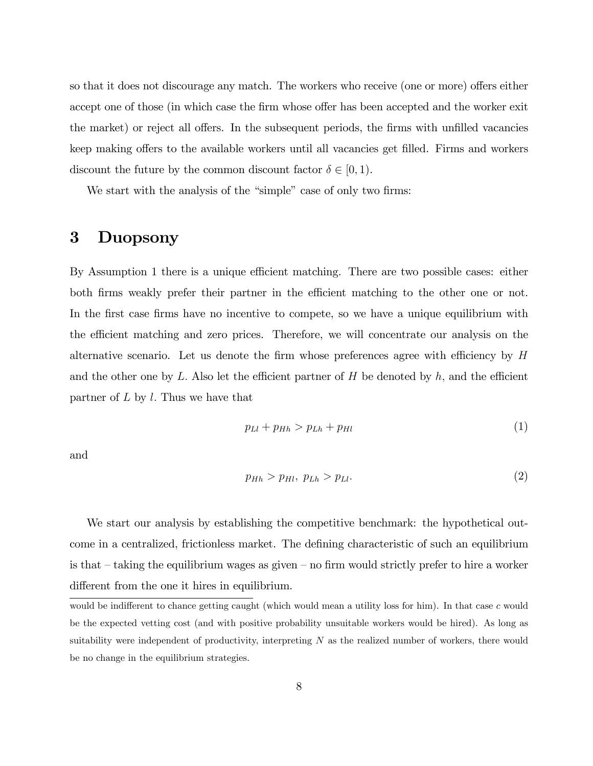so that it does not discourage any match. The workers who receive (one or more) offers either accept one of those (in which case the firm whose offer has been accepted and the worker exit the market) or reject all offers. In the subsequent periods, the firms with unfilled vacancies keep making offers to the available workers until all vacancies get filled. Firms and workers discount the future by the common discount factor  $\delta \in [0, 1)$ .

We start with the analysis of the "simple" case of only two firms:

## 3 Duopsony

By Assumption 1 there is a unique efficient matching. There are two possible cases: either both firms weakly prefer their partner in the efficient matching to the other one or not. In the first case firms have no incentive to compete, so we have a unique equilibrium with the efficient matching and zero prices. Therefore, we will concentrate our analysis on the alternative scenario. Let us denote the firm whose preferences agree with efficiency by  $H$ and the other one by L. Also let the efficient partner of H be denoted by  $h$ , and the efficient partner of  $L$  by  $l$ . Thus we have that

$$
p_{Ll} + p_{Hh} > p_{Lh} + p_{Hl} \tag{1}
$$

and

$$
p_{Hh} > p_{Hl}, p_{Lh} > p_{Ll}.\tag{2}
$$

We start our analysis by establishing the competitive benchmark: the hypothetical outcome in a centralized, frictionless market. The defining characteristic of such an equilibrium is that  $-\text{taking the equilibrium wages as given – no firm would strictly prefer to hire a worker.}$ different from the one it hires in equilibrium.

would be indifferent to chance getting caught (which would mean a utility loss for him). In that case c would be the expected vetting cost (and with positive probability unsuitable workers would be hired). As long as suitability were independent of productivity, interpreting N as the realized number of workers, there would be no change in the equilibrium strategies.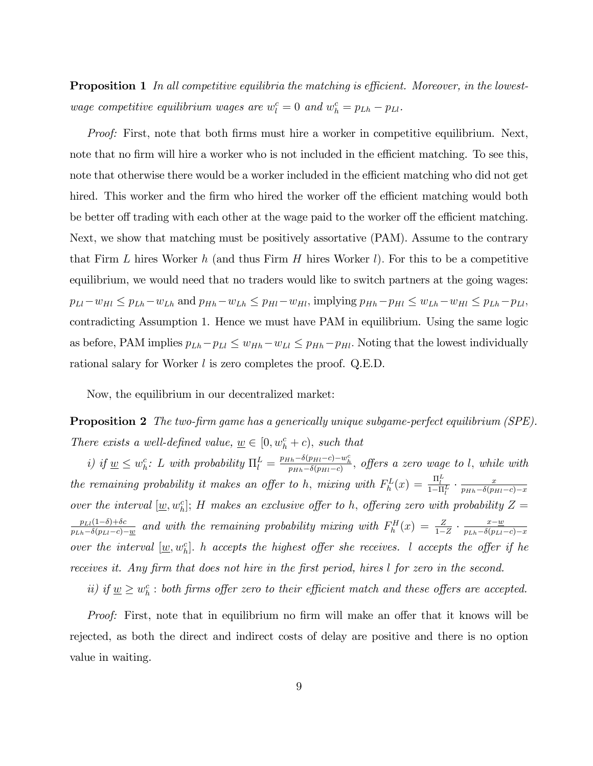**Proposition 1** In all competitive equilibria the matching is efficient. Moreover, in the lowestwage competitive equilibrium wages are  $w_l^c = 0$  and  $w_h^c = p_{Lh} - p_{Ll}$ .

Proof: First, note that both firms must hire a worker in competitive equilibrium. Next, note that no firm will hire a worker who is not included in the efficient matching. To see this, note that otherwise there would be a worker included in the efficient matching who did not get hired. This worker and the firm who hired the worker off the efficient matching would both be better off trading with each other at the wage paid to the worker off the efficient matching. Next, we show that matching must be positively assortative (PAM). Assume to the contrary that Firm L hires Worker h (and thus Firm H hires Worker  $l$ ). For this to be a competitive equilibrium, we would need that no traders would like to switch partners at the going wages:  $p_{Ll}-w_{Hl} \leq p_{Lh}-w_{Lh}$  and  $p_{Hh}-w_{Lh} \leq p_{Hl}-w_{Hl}$ , implying  $p_{Hh}-p_{Hl} \leq w_{Lh}-w_{Hl} \leq p_{Lh}-p_{Ll}$ contradicting Assumption 1. Hence we must have PAM in equilibrium. Using the same logic as before, PAM implies  $p_{Lh}-p_{Ll} \leq w_{Hh}-w_{Ll} \leq p_{Hh}-p_{Hl}$ . Noting that the lowest individually rational salary for Worker l is zero completes the proof. Q.E.D.

Now, the equilibrium in our decentralized market:

**Proposition 2** The two-firm game has a generically unique subgame-perfect equilibrium (SPE). There exists a well-defined value,  $\underline{w} \in [0, w_h^c + c)$ , such that

i) if  $\underline{w} \leq w_h^c$ : L with probability  $\Pi_l^L = \frac{p_{Hh} - \delta(p_{Hl} - c) - w_h^c}{p_{Hh} - \delta(p_{Hl} - c)}$ , offers a zero wage to l, while with the remaining probability it makes an offer to h, mixing with  $F_h^L(x) = \frac{\Pi_l^L}{1 - \Pi_l^L} \cdot \frac{x}{p_{Hh} - \delta(p_H)}$  $p_{Hh}-\delta(p_{Hl}-c)-x$ over the interval  $[\underline{w}, w_h^c]$ ; H makes an exclusive offer to h, offering zero with probability  $Z =$  $p_{Ll}(1-\delta)+\delta c$  $\frac{p_{Ll}(1-\delta)+\delta c}{p_{Lh}-\delta(p_{Ll}-c)-\underline{w}}$  and with the remaining probability mixing with  $F_h^H(x) = \frac{Z}{1-Z} \cdot \frac{x-\underline{w}}{p_{Lh}-\delta(p_{Ll}-c)-\underline{w}}$  $p_{Lh}-\delta(p_{Ll}-c)-x$ over the interval  $[\underline{w}, w_h^c]$ . h accepts the highest offer she receives. I accepts the offer if he receives it. Any firm that does not hire in the first period, hires l for zero in the second.

ii) if  $\underline{w} \geq w_h^c$ : both firms offer zero to their efficient match and these offers are accepted.

*Proof:* First, note that in equilibrium no firm will make an offer that it knows will be rejected, as both the direct and indirect costs of delay are positive and there is no option value in waiting.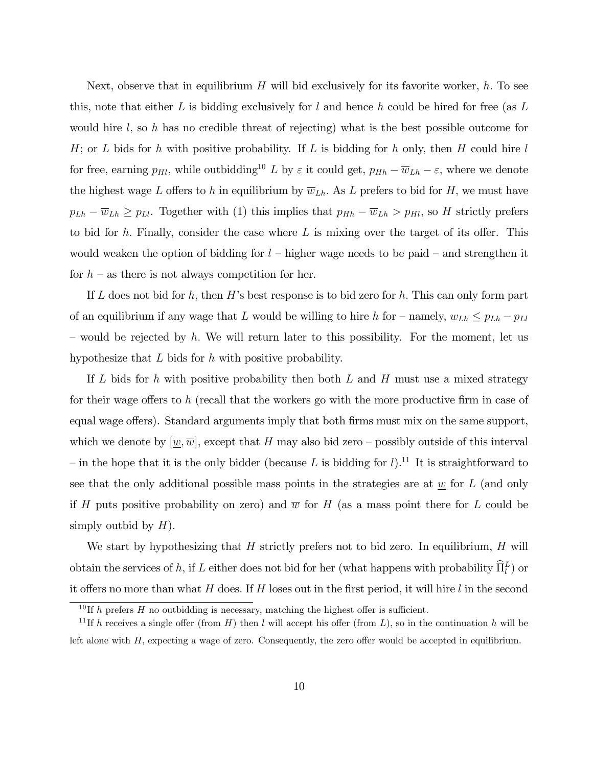Next, observe that in equilibrium  $H$  will bid exclusively for its favorite worker, h. To see this, note that either  $L$  is bidding exclusively for  $l$  and hence  $h$  could be hired for free (as  $L$ would hire  $l$ , so h has no credible threat of rejecting) what is the best possible outcome for  $H$ ; or  $L$  bids for  $h$  with positive probability. If  $L$  is bidding for  $h$  only, then  $H$  could hire  $l$ for free, earning  $p_{Hl}$ , while outbidding<sup>10</sup> L by  $\varepsilon$  it could get,  $p_{Hh} - \overline{w}_{Lh} - \varepsilon$ , where we denote the highest wage L offers to h in equilibrium by  $\overline{w}_{Lh}$ . As L prefers to bid for H, we must have  $p_{Lh} - \overline{w}_{Lh} \geq p_{Ll}$ . Together with (1) this implies that  $p_{Hh} - \overline{w}_{Lh} > p_{Hl}$ , so H strictly prefers to bid for h. Finally, consider the case where  $L$  is mixing over the target of its offer. This would weaken the option of bidding for  $l$  – higher wage needs to be paid – and strengthen it for  $h$  – as there is not always competition for her.

If L does not bid for h, then H's best response is to bid zero for h. This can only form part of an equilibrium if any wage that L would be willing to hire h for – namely,  $w_{Lh} \le p_{Lh} - p_{Lh}$ – would be rejected by h. We will return later to this possibility. For the moment, let us hypothesize that L bids for h with positive probability.

If L bids for h with positive probability then both L and H must use a mixed strategy for their wage offers to h (recall that the workers go with the more productive firm in case of equal wage offers). Standard arguments imply that both firms must mix on the same support, which we denote by  $[\underline{w}, \overline{w}]$ , except that H may also bid zero – possibly outside of this interval – in the hope that it is the only bidder (because L is bidding for l).<sup>11</sup> It is straightforward to see that the only additional possible mass points in the strategies are at  $\underline{w}$  for L (and only if H puts positive probability on zero) and  $\overline{w}$  for H (as a mass point there for L could be simply outbid by  $H$ ).

We start by hypothesizing that  $H$  strictly prefers not to bid zero. In equilibrium,  $H$  will obtain the services of h, if L either does not bid for her (what happens with probability  $\hat{\Pi}_l^L$ ) or it offers no more than what  $H$  does. If  $H$  loses out in the first period, it will hire  $l$  in the second

<sup>&</sup>lt;sup>10</sup> If h prefers H no outbidding is necessary, matching the highest offer is sufficient.

<sup>&</sup>lt;sup>11</sup>If h receives a single offer (from H) then l will accept his offer (from L), so in the continuation h will be left alone with  $H$ , expecting a wage of zero. Consequently, the zero offer would be accepted in equilibrium.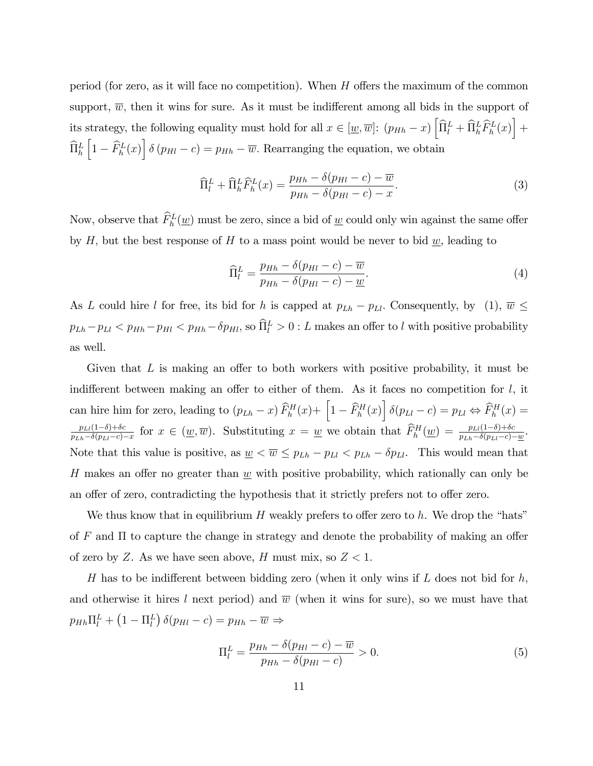period (for zero, as it will face no competition). When  $H$  offers the maximum of the common support,  $\overline{w}$ , then it wins for sure. As it must be indifferent among all bids in the support of its strategy, the following equality must hold for all  $x \in [\underline{w}, \overline{w}]$ :  $(p_{Hh} - x) [\widehat{\Pi}_l^L + \widehat{\Pi}_h^L \widehat{F}_h^L(x)] +$  $\widehat{\Pi}_h^L$  $\left[1 - \widehat{F}_{h}^{L}(x)\right] \delta(p_{Hl} - c) = p_{Hh} - \overline{w}$ . Rearranging the equation, we obtain

$$
\widehat{\Pi}_l^L + \widehat{\Pi}_h^L \widehat{F}_h^L(x) = \frac{p_{Hh} - \delta(p_{Hl} - c) - \overline{w}}{p_{Hh} - \delta(p_{Hl} - c) - x}.
$$
\n(3)

Now, observe that  $\tilde{F}_h^L(\underline{w})$  must be zero, since a bid of  $\underline{w}$  could only win against the same offer by H, but the best response of H to a mass point would be never to bid  $\underline{w}$ , leading to

$$
\widehat{\Pi}_l^L = \frac{p_{Hh} - \delta(p_{Hl} - c) - \overline{w}}{p_{Hh} - \delta(p_{Hl} - c) - \underline{w}}.
$$
\n(4)

As L could hire l for free, its bid for h is capped at  $p_{Lh} - p_{Ll}$ . Consequently, by (1),  $\overline{w} \leq$  $p_{Lh} - p_{Ll} < p_{Hh} - p_{Hl} < p_{Hh} - \delta p_{Hl}$ , so  $\hat{\Pi}_l^L > 0$  : L makes an offer to l with positive probability as well.

Given that  $L$  is making an offer to both workers with positive probability, it must be indifferent between making an offer to either of them. As it faces no competition for  $l$ , it can hire him for zero, leading to  $(p_{Lh} - x) \widehat{F}_h^H(x) + \left[1 - \widehat{F}_h^H(x)\right] \delta(p_{Ll} - c) = p_{Ll} \Leftrightarrow \widehat{F}_h^H(x) =$  $p_{Ll}(1-\delta)+\delta c$  $\frac{p_{Ll}(1-\delta)+\delta c}{p_{Lh}-\delta(p_{Ll}-c)-x}$  for  $x \in (\underline{w}, \overline{w})$ . Substituting  $x = \underline{w}$  we obtain that  $\widehat{F}_h^H(\underline{w}) = \frac{p_{Ll}(1-\delta)+\delta c}{p_{Lh}-\delta(p_{Ll}-c)-\underline{w}}$ . Note that this value is positive, as  $\underline{w} \le \overline{w} \le p_{Lh} - p_{Ll} < p_{Lh} - \delta p_{Ll}$ . This would mean that H makes an offer no greater than  $\underline{w}$  with positive probability, which rationally can only be an offer of zero, contradicting the hypothesis that it strictly prefers not to offer zero.

We thus know that in equilibrium  $H$  weakly prefers to offer zero to  $h$ . We drop the "hats" of  $F$  and  $\Pi$  to capture the change in strategy and denote the probability of making an offer of zero by Z. As we have seen above, H must mix, so  $Z < 1$ .

H has to be indifferent between bidding zero (when it only wins if  $L$  does not bid for  $h$ , and otherwise it hires l next period) and  $\overline{w}$  (when it wins for sure), so we must have that  $p_{Hh} \Pi_l^L + (1 - \Pi_l^L) \delta(p_{Hl} - c) = p_{Hh} - \overline{w} \Rightarrow$ 

$$
\Pi_l^L = \frac{p_{Hh} - \delta(p_{Hl} - c) - \overline{w}}{p_{Hh} - \delta(p_{Hl} - c)} > 0.
$$
\n
$$
(5)
$$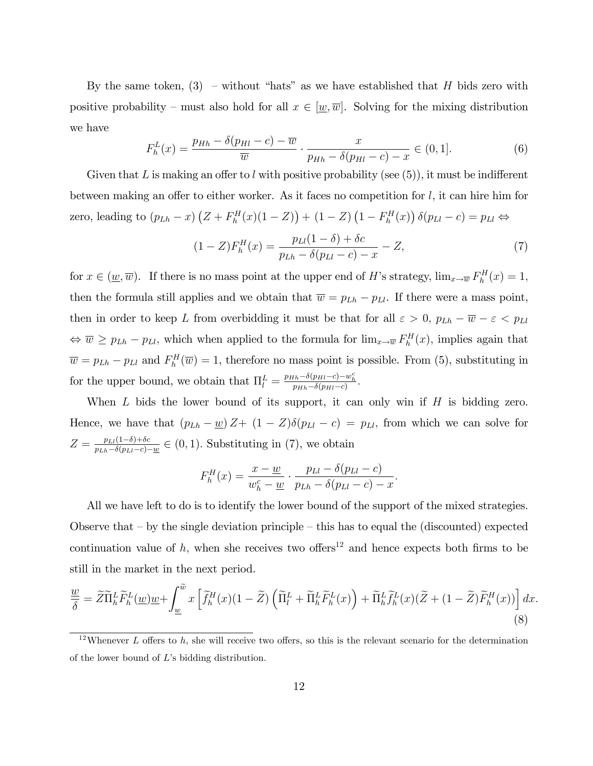By the same token,  $(3)$  – without "hats" as we have established that H bids zero with positive probability – must also hold for all  $x \in [w, \overline{w}]$ . Solving for the mixing distribution we have

$$
F_h^L(x) = \frac{p_{Hh} - \delta(p_{Hl} - c) - \overline{w}}{\overline{w}} \cdot \frac{x}{p_{Hh} - \delta(p_{Hl} - c) - x} \in (0, 1].
$$
 (6)

Given that L is making an offer to l with positive probability (see  $(5)$ ), it must be indifferent between making an offer to either worker. As it faces no competition for  $l$ , it can hire him for zero, leading to  $(p_{Lh} - x) (Z + F_h^H(x)(1 - Z)) + (1 - Z) (1 - F_h^H(x)) \delta(p_{Ll} - c) = p_{Ll} \Leftrightarrow$ 

$$
(1 - Z)F_h^H(x) = \frac{p_{Ll}(1 - \delta) + \delta c}{p_{Lh} - \delta(p_{Ll} - c) - x} - Z,
$$
\n(7)

for  $x \in (\underline{w}, \overline{w})$ . If there is no mass point at the upper end of H's strategy,  $\lim_{x \to \overline{w}} F_h^H(x) = 1$ , then the formula still applies and we obtain that  $\overline{w} = p_{Lh} - p_{Ll}$ . If there were a mass point, then in order to keep L from overbidding it must be that for all  $\varepsilon > 0$ ,  $p_{Lh} - \overline{w} - \varepsilon < p_{Lh}$  $\Leftrightarrow \overline{w} \ge p_{Lh} - p_{Ll}$ , which when applied to the formula for  $\lim_{x\to\overline{w}} F_h^H(x)$ , implies again that  $\overline{w} = p_{Lh} - p_{Ll}$  and  $F_h^H(\overline{w}) = 1$ , therefore no mass point is possible. From (5), substituting in for the upper bound, we obtain that  $\Pi_l^L = \frac{p_{Hh} - \delta(p_{Hl} - c) - w_h^c}{p_{Hh} - \delta(p_{Hl} - c)}$ .

When  $L$  bids the lower bound of its support, it can only win if  $H$  is bidding zero. Hence, we have that  $(p_{Lh} - \underline{w})Z + (1 - Z)\delta(p_{Ll} - c) = p_{Ll}$ , from which we can solve for  $Z = \frac{p_{Ll}(1-\delta) + \delta c}{p_{Ll} - \delta (p_{Ll} - c)}$  $\frac{p_{Ll}(1-\delta)+\delta c}{p_{Ll}-\delta(p_{Ll}-c)-\underline{w}} \in (0,1)$ . Substituting in (7), we obtain

$$
F_h^H(x) = \frac{x - \underline{w}}{w_h^c - \underline{w}} \cdot \frac{p_{Ll} - \delta(p_{Ll} - c)}{p_{Lh} - \delta(p_{Ll} - c) - x}.
$$

All we have left to do is to identify the lower bound of the support of the mixed strategies. Observe that  $-\mathbf{b}$  by the single deviation principle  $-\mathbf{t}$  his has to equal the (discounted) expected continuation value of h, when she receives two offers<sup>12</sup> and hence expects both firms to be still in the market in the next period.

$$
\frac{w}{\delta} = \widetilde{Z}\widetilde{\Pi}_{h}^{L}\widetilde{F}_{h}^{L}(\underline{w})\underline{w} + \int_{\underline{w}}^{\widetilde{w}} x\left[\widetilde{f}_{h}^{H}(x)(1-\widetilde{Z})\left(\widetilde{\Pi}_{l}^{L} + \widetilde{\Pi}_{h}^{L}\widetilde{F}_{h}^{L}(x)\right) + \widetilde{\Pi}_{h}^{L}\widetilde{f}_{h}^{L}(x)(\widetilde{Z} + (1-\widetilde{Z})\widetilde{F}_{h}^{H}(x))\right]dx.
$$
\n(8)

<sup>&</sup>lt;sup>12</sup>Whenever L offers to h, she will receive two offers, so this is the relevant scenario for the determination of the lower bound of  $L$ 's bidding distribution.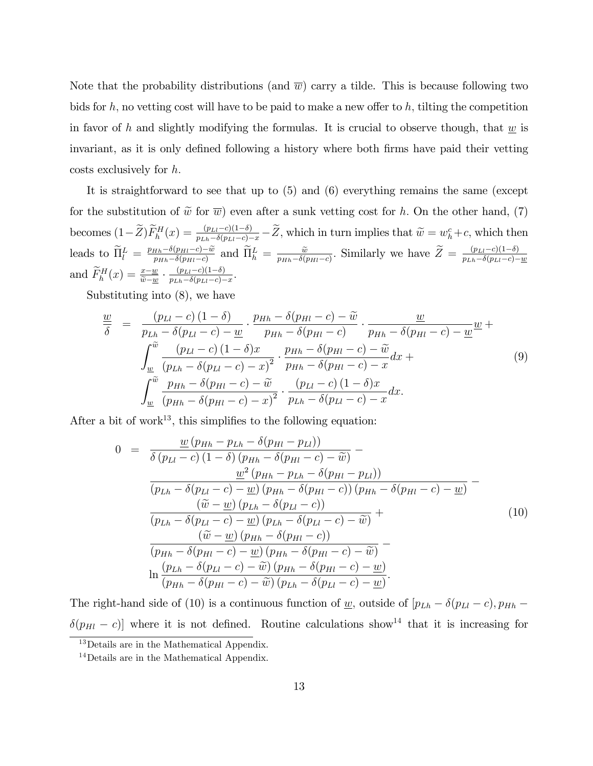Note that the probability distributions (and  $\overline{w}$ ) carry a tilde. This is because following two bids for h; no vetting cost will have to be paid to make a new offer to h; tilting the competition in favor of h and slightly modifying the formulas. It is crucial to observe though, that  $w$  is invariant, as it is only defined following a history where both firms have paid their vetting  $costs$  exclusively for  $h$ .

It is straightforward to see that up to (5) and (6) everything remains the same (except for the substitution of  $\tilde{w}$  for  $\overline{w}$ ) even after a sunk vetting cost for h. On the other hand, (7) becomes  $(1-\tilde{Z})\tilde{F}_{h}^{H}(x) = \frac{(p_{LI}-c)(1-\delta)}{p_{Lh}-\delta(p_{LI}-c)-x}-\tilde{Z}$ , which in turn implies that  $\tilde{w}=w_{h}^{c}+c$ , which then leads to  $\widetilde{\Pi}_{l}^{L} = \frac{p_{Hh} - \delta(p_{Hl} - c) - \widetilde{w}}{p_{Hh} - \delta(p_{Hl} - c)}$  $\frac{q_{th}-\delta(p_{Hl}-c)-\widetilde{w}}{p_{Hh}-\delta(p_{Hl}-c)}$  and  $\widetilde{\Pi}_{h}^{L}=\frac{\widetilde{w}}{p_{Hh}-\delta(p_{Hl}-c)}$ . Similarly we have  $\widetilde{Z}=\frac{(p_{Ll}-c)(1-\delta)}{p_{Lh}-\delta(p_{Ll}-c)-c}$  $p_{Lh}-\delta(p_{Ll}-c)-\underline{w}$ and  $\widetilde{F}_h^H(x) = \frac{x - \underline{w}}{\widetilde{w} - \underline{w}} \cdot \frac{(p_{Ll} - c)(1 - \delta)}{p_{Lh} - \delta(p_{Ll} - c)}$  $\frac{(p_{Ll}-c)(1-o)}{p_{Lh}-\delta(p_{Ll}-c)-x}.$ 

Substituting into (8), we have

$$
\frac{w}{\delta} = \frac{(p_{Ll} - c)(1 - \delta)}{p_{Lh} - \delta(p_{Ll} - c) - w} \cdot \frac{p_{Hh} - \delta(p_{Hl} - c) - \widetilde{w}}{p_{Hh} - \delta(p_{Hl} - c)} \cdot \frac{w}{p_{Hh} - \delta(p_{Hl} - c) - w} + \int_{\frac{w}{\delta}}^{\widetilde{w}} \frac{(p_{Ll} - c)(1 - \delta)x}{(p_{Lh} - \delta(p_{Ll} - c) - x)^2} \cdot \frac{p_{Hh} - \delta(p_{Hl} - c) - \widetilde{w}}{p_{Hh} - \delta(p_{Hl} - c) - x} dx + \int_{\frac{w}{\delta}}^{\widetilde{w}} \frac{p_{Hh} - \delta(p_{Hl} - c) - \widetilde{w}}{(p_{Hh} - \delta(p_{Hl} - c) - x)^2} \cdot \frac{(p_{Ll} - c)(1 - \delta)x}{p_{Lh} - \delta(p_{Ll} - c) - x} dx.
$$
\n(9)

After a bit of work<sup>13</sup>, this simplifies to the following equation:

$$
0 = \frac{\underline{w}(p_{Hh} - p_{Lh} - \delta(p_{Hl} - p_{Ll}))}{\delta(p_{Ll} - c)(1 - \delta)(p_{Hh} - \delta(p_{Hl} - c) - \widetilde{w})}
$$

$$
-\frac{\underline{w}^{2}(p_{Hh} - p_{Lh} - \delta(p_{Hl} - p_{Ll}))}{(p_{Lh} - \delta(p_{Ll} - c) - \underline{w})(p_{Hh} - \delta(p_{Hl} - c))(p_{Hh} - \delta(p_{Hl} - c) - \underline{w})}
$$

$$
-\frac{(\widetilde{w} - \underline{w})(p_{Lh} - \delta(p_{Ll} - c))}{(p_{Lh} - \delta(p_{Ll} - c) - \underline{w})(p_{Lh} - \delta(p_{Ll} - c) - \widetilde{w})} + \frac{(\widetilde{w} - \underline{w})(p_{Hh} - \delta(p_{Hl} - c))}{(p_{Hh} - \delta(p_{Hl} - c) - \underline{w})(p_{Hh} - \delta(p_{Hl} - c) - \widetilde{w})}
$$

$$
\ln \frac{(p_{Lh} - \delta(p_{Ll} - c) - \widetilde{w})(p_{Hh} - \delta(p_{Hl} - c) - \underline{w})}{(p_{Hh} - \delta(p_{Hl} - c) - \widetilde{w})(p_{Lh} - \delta(p_{Ll} - c) - \underline{w})}.
$$
(10)

The right-hand side of (10) is a continuous function of <u>w</u>, outside of  $[p_{Lh} - \delta(p_{Ll} - c), p_{Hh} \delta(p_{Hl} - c)$ ] where it is not defined. Routine calculations show<sup>14</sup> that it is increasing for

<sup>13</sup>Details are in the Mathematical Appendix.

<sup>&</sup>lt;sup>14</sup>Details are in the Mathematical Appendix.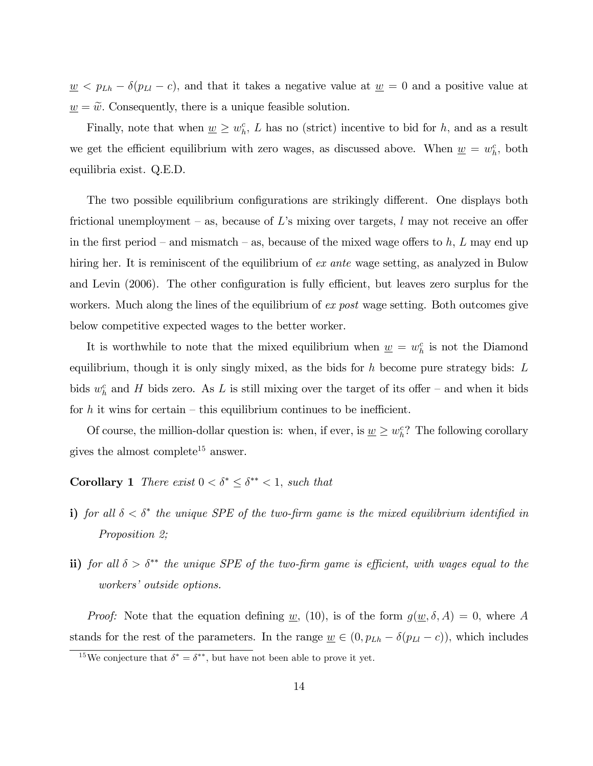$\underline{w} < p_{Lh} - \delta(p_{Ll} - c)$ , and that it takes a negative value at  $\underline{w} = 0$  and a positive value at  $\underline{w} = \widetilde{w}$ . Consequently, there is a unique feasible solution.

Finally, note that when  $\underline{w} \geq w_h^c$ , L has no (strict) incentive to bid for h, and as a result we get the efficient equilibrium with zero wages, as discussed above. When  $\underline{w} = w_h^c$ , both equilibria exist. Q.E.D.

The two possible equilibrium configurations are strikingly different. One displays both frictional unemployment – as, because of L's mixing over targets, l may not receive an offer in the first period – and mismatch – as, because of the mixed wage offers to h, L may end up hiring her. It is reminiscent of the equilibrium of ex ante wage setting, as analyzed in Bulow and Levin (2006). The other configuration is fully efficient, but leaves zero surplus for the workers. Much along the lines of the equilibrium of ex post wage setting. Both outcomes give below competitive expected wages to the better worker.

It is worthwhile to note that the mixed equilibrium when  $\underline{w} = w_h^c$  is not the Diamond equilibrium, though it is only singly mixed, as the bids for  $h$  become pure strategy bids:  $L$ bids  $w<sub>h</sub><sup>c</sup>$  and H bids zero. As L is still mixing over the target of its offer – and when it bids for h it wins for certain  $-\theta$  this equilibrium continues to be inefficient.

Of course, the million-dollar question is: when, if ever, is  $\underline{w} \geq w_h^c$ ? The following corollary gives the almost complete<sup>15</sup> answer.

## **Corollary 1** There exist  $0 < \delta^* \leq \delta^{**} < 1$ , such that

- i) for all  $\delta < \delta^*$  the unique SPE of the two-firm game is the mixed equilibrium identified in Proposition 2;
- ii) for all  $\delta > \delta^{**}$  the unique SPE of the two-firm game is efficient, with wages equal to the workers' outside options.

*Proof:* Note that the equation defining <u>w</u>, (10), is of the form  $g(\underline{w}, \delta, A) = 0$ , where A stands for the rest of the parameters. In the range  $\underline{w} \in (0, p_{Lh} - \delta(p_{Ll} - c))$ , which includes

<sup>&</sup>lt;sup>15</sup>We conjecture that  $\delta^* = \delta^{**}$ , but have not been able to prove it yet.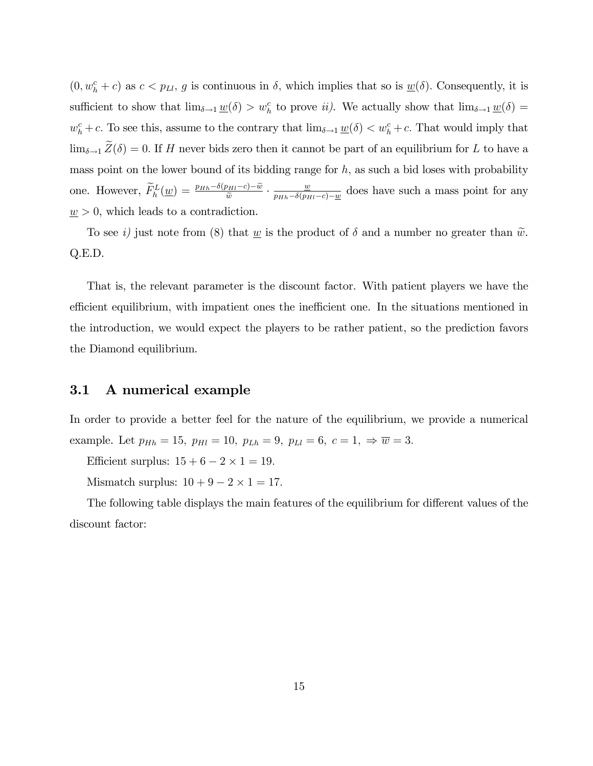$(0, w_h^c + c)$  as  $c < p_{Ll}$ , g is continuous in  $\delta$ , which implies that so is  $\underline{w}(\delta)$ . Consequently, it is sufficient to show that  $\lim_{\delta \to 1} \underline{w}(\delta) > w_h^c$  to prove *ii*). We actually show that  $\lim_{\delta \to 1} \underline{w}(\delta) =$  $w_h^c + c$ . To see this, assume to the contrary that  $\lim_{\delta \to 1} \underline{w}(\delta) < w_h^c + c$ . That would imply that  $\lim_{\delta \to 1} \widetilde{Z}(\delta) = 0.$  If H never bids zero then it cannot be part of an equilibrium for L to have a mass point on the lower bound of its bidding range for  $h$ , as such a bid loses with probability one. However,  $\widetilde{F}_h^L(\underline{w}) = \frac{p_{Hh} - \delta(p_{Hl} - c) - \widetilde{w}}{\widetilde{w}} \cdot \frac{\underline{w}}{p_{Hh} - \delta(p_H - c)}$  $\frac{w}{p_{Hh}-\delta(p_{Hl}-c)-w}$  does have such a mass point for any  $\underline{w} > 0$ , which leads to a contradiction.

To see i) just note from (8) that <u>w</u> is the product of  $\delta$  and a number no greater than  $\tilde{w}$ . Q.E.D.

That is, the relevant parameter is the discount factor. With patient players we have the efficient equilibrium, with impatient ones the inefficient one. In the situations mentioned in the introduction, we would expect the players to be rather patient, so the prediction favors the Diamond equilibrium.

#### 3.1 A numerical example

In order to provide a better feel for the nature of the equilibrium, we provide a numerical example. Let  $p_{Hh} = 15$ ,  $p_{Hl} = 10$ ,  $p_{Lh} = 9$ ,  $p_{Ll} = 6$ ,  $c = 1$ ,  $\Rightarrow \overline{w} = 3$ .

Efficient surplus:  $15 + 6 - 2 \times 1 = 19$ .

Mismatch surplus:  $10 + 9 - 2 \times 1 = 17$ .

The following table displays the main features of the equilibrium for different values of the discount factor: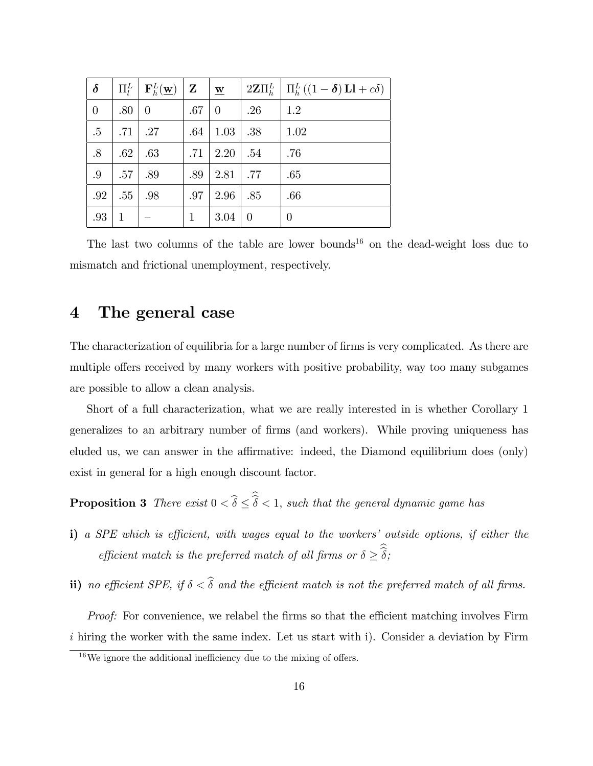| $\delta$       | $\Pi^L_l$    | ${\bf F}_h^L({\bf w})$ | $\mathbf{Z}$ | $\underline{\mathbf{w}}$ |             | $2\mathbf{Z}\Pi_h^L \mid \Pi_h^L((1-\delta)\mathbf{L}I + c\delta)$ |
|----------------|--------------|------------------------|--------------|--------------------------|-------------|--------------------------------------------------------------------|
| $\overline{0}$ | .80          | $\overline{0}$         | .67          | $\overline{0}$           | .26         | 1.2                                                                |
| $.5\,$         | .71          | $\overline{27}$        | .64          | 1.03                     | .38         | 1.02                                                               |
| .8             | .62          | .63                    | .71          | 2.20                     | .54         | .76                                                                |
| .9             | .57          | .89                    | .89          | 2.81                     | $\vert .77$ | .65                                                                |
| .92            | .55          | .98                    | .97          | 2.96                     | .85         | .66                                                                |
| .93            | $\mathbf{1}$ |                        | $\mathbf{1}$ | 3.04                     | $\theta$    | $\theta$                                                           |

The last two columns of the table are lower bounds<sup>16</sup> on the dead-weight loss due to mismatch and frictional unemployment, respectively.

## 4 The general case

The characterization of equilibria for a large number of firms is very complicated. As there are multiple offers received by many workers with positive probability, way too many subgames are possible to allow a clean analysis.

Short of a full characterization, what we are really interested in is whether Corollary 1 generalizes to an arbitrary number of Örms (and workers). While proving uniqueness has eluded us, we can answer in the affirmative: indeed, the Diamond equilibrium does (only) exist in general for a high enough discount factor.

**Proposition 3** There exist  $0 < \delta \leq \delta < 1$ , such that the general dynamic game has

- i) a SPE which is efficient, with wages equal to the workers' outside options, if either the efficient match is the preferred match of all firms or  $\delta \geq \delta$ ;
- ii) no efficient SPE, if  $\delta < \hat{\delta}$  and the efficient match is not the preferred match of all firms.

*Proof:* For convenience, we relabel the firms so that the efficient matching involves Firm i hiring the worker with the same index. Let us start with i). Consider a deviation by Firm

 $16$ We ignore the additional inefficiency due to the mixing of offers.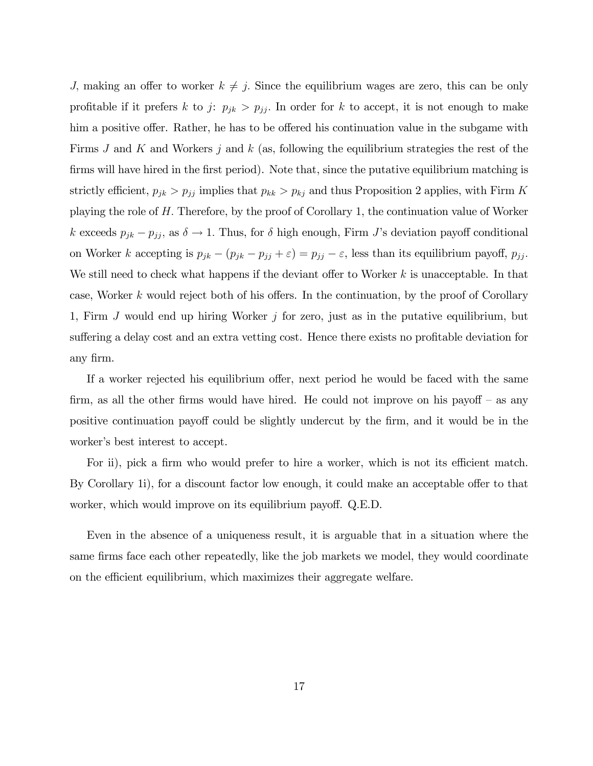J, making an offer to worker  $k \neq j$ . Since the equilibrium wages are zero, this can be only profitable if it prefers k to j:  $p_{jk} > p_{jj}$ . In order for k to accept, it is not enough to make him a positive offer. Rather, he has to be offered his continuation value in the subgame with Firms  $J$  and  $K$  and Workers  $j$  and  $k$  (as, following the equilibrium strategies the rest of the firms will have hired in the first period). Note that, since the putative equilibrium matching is strictly efficient,  $p_{jk} > p_{jj}$  implies that  $p_{kk} > p_{kj}$  and thus Proposition 2 applies, with Firm K playing the role of H: Therefore, by the proof of Corollary 1, the continuation value of Worker k exceeds  $p_{jk} - p_{jj}$ , as  $\delta \to 1$ . Thus, for  $\delta$  high enough, Firm J's deviation payoff conditional on Worker k accepting is  $p_{jk} - (p_{jk} - p_{jj} + \varepsilon) = p_{jj} - \varepsilon$ , less than its equilibrium payoff,  $p_{jj}$ . We still need to check what happens if the deviant offer to Worker  $k$  is unacceptable. In that case, Worker k would reject both of his offers. In the continuation, by the proof of Corollary 1, Firm  $J$  would end up hiring Worker  $j$  for zero, just as in the putative equilibrium, but suffering a delay cost and an extra vetting cost. Hence there exists no profitable deviation for any Örm.

If a worker rejected his equilibrium offer, next period he would be faced with the same firm, as all the other firms would have hired. He could not improve on his payoff  $-$  as any positive continuation payoff could be slightly undercut by the firm, and it would be in the worker's best interest to accept.

For ii), pick a firm who would prefer to hire a worker, which is not its efficient match. By Corollary 1i), for a discount factor low enough, it could make an acceptable offer to that worker, which would improve on its equilibrium payoff. Q.E.D.

Even in the absence of a uniqueness result, it is arguable that in a situation where the same firms face each other repeatedly, like the job markets we model, they would coordinate on the efficient equilibrium, which maximizes their aggregate welfare.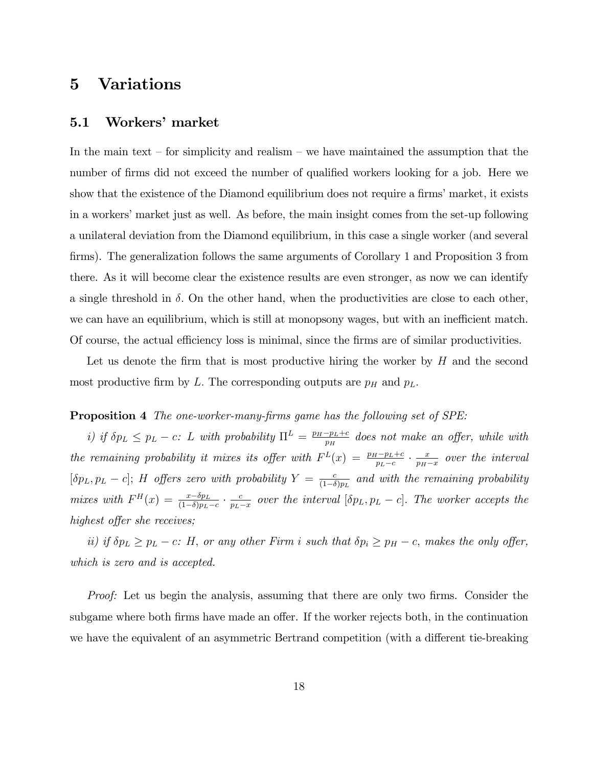## 5 Variations

### 5.1 Workers' market

In the main text  $\sim$  for simplicity and realism  $\sim$  we have maintained the assumption that the number of firms did not exceed the number of qualified workers looking for a job. Here we show that the existence of the Diamond equilibrium does not require a firms' market, it exists in a workers' market just as well. As before, the main insight comes from the set-up following a unilateral deviation from the Diamond equilibrium, in this case a single worker (and several firms). The generalization follows the same arguments of Corollary 1 and Proposition 3 from there. As it will become clear the existence results are even stronger, as now we can identify a single threshold in  $\delta$ . On the other hand, when the productivities are close to each other, we can have an equilibrium, which is still at monopsony wages, but with an inefficient match. Of course, the actual efficiency loss is minimal, since the firms are of similar productivities.

Let us denote the firm that is most productive hiring the worker by  $H$  and the second most productive firm by L. The corresponding outputs are  $p<sub>H</sub>$  and  $p<sub>L</sub>$ .

#### **Proposition 4** The one-worker-many-firms game has the following set of SPE:

i) if  $\delta p_L \leq p_L - c$ : L with probability  $\Pi^L = \frac{p_H - p_L + c}{p_H}$  does not make an offer, while with the remaining probability it mixes its offer with  $F<sup>L</sup>(x) = \frac{p_H - p_L + c}{p_L - c} \cdot \frac{x}{p_H - c}$  $\frac{x}{p_H-x}$  over the interval  $[\delta p_L, p_L - c]$ ; H offers zero with probability  $Y = \frac{c}{(1-\delta)}$  $\frac{c}{(1-\delta)p_L}$  and with the remaining probability mixes with  $F^H(x) = \frac{x - \delta p_L}{(1 - \delta)p_L - c} \cdot \frac{c}{p_L - c}$  $\frac{c}{p_L-x}$  over the interval  $[\delta p_L, p_L - c]$ . The worker accepts the highest offer she receives;

ii) if  $\delta p_L \geq p_L - c$ : H, or any other Firm i such that  $\delta p_i \geq p_H - c$ , makes the only offer, which is zero and is accepted.

Proof: Let us begin the analysis, assuming that there are only two firms. Consider the subgame where both firms have made an offer. If the worker rejects both, in the continuation we have the equivalent of an asymmetric Bertrand competition (with a different tie-breaking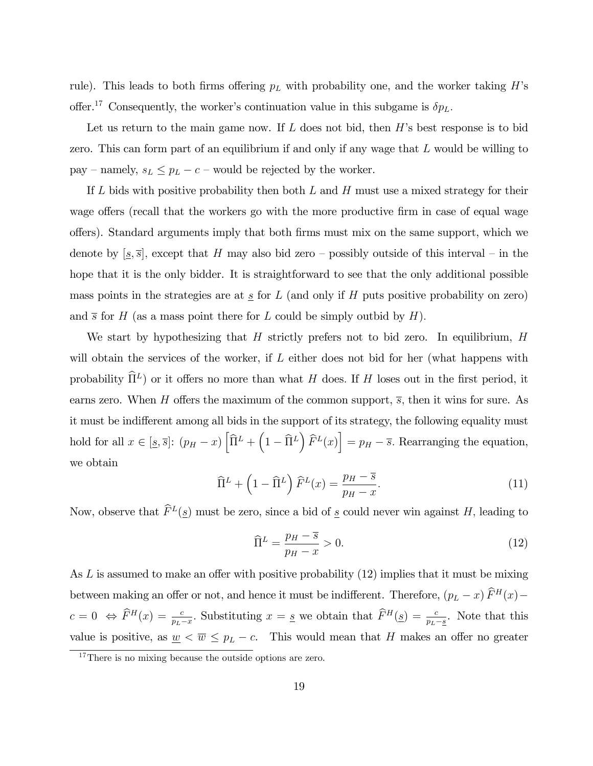rule). This leads to both firms offering  $p<sub>L</sub>$  with probability one, and the worker taking H's offer.<sup>17</sup> Consequently, the worker's continuation value in this subgame is  $\delta p_L$ .

Let us return to the main game now. If  $L$  does not bid, then  $H$ 's best response is to bid zero. This can form part of an equilibrium if and only if any wage that  $L$  would be willing to pay – namely,  $s_L \leq p_L - c$  – would be rejected by the worker.

If  $L$  bids with positive probability then both  $L$  and  $H$  must use a mixed strategy for their wage offers (recall that the workers go with the more productive firm in case of equal wage offers). Standard arguments imply that both firms must mix on the same support, which we denote by  $[s, \overline{s}]$ , except that H may also bid zero – possibly outside of this interval – in the hope that it is the only bidder. It is straightforward to see that the only additional possible mass points in the strategies are at  $\underline{s}$  for  $L$  (and only if  $H$  puts positive probability on zero) and  $\bar{s}$  for H (as a mass point there for L could be simply outbid by H).

We start by hypothesizing that  $H$  strictly prefers not to bid zero. In equilibrium,  $H$ will obtain the services of the worker, if  $L$  either does not bid for her (what happens with probability  $\hat{\Pi}^L$ ) or it offers no more than what H does. If H loses out in the first period, it earns zero. When H offers the maximum of the common support,  $\bar{s}$ , then it wins for sure. As it must be indifferent among all bids in the support of its strategy, the following equality must hold for all  $x \in [s, \overline{s}]$ :  $(p_H - x) \left[ \widehat{\Pi}^L + \left( 1 - \widehat{\Pi}^L \right) \widehat{F}^L(x) \right] = p_H - \overline{s}$ . Rearranging the equation, we obtain

$$
\widehat{\Pi}^{L} + \left(1 - \widehat{\Pi}^{L}\right) \widehat{F}^{L}(x) = \frac{p_{H} - \overline{s}}{p_{H} - x}.
$$
\n(11)

Now, observe that  $\tilde{F}^L(\underline{s})$  must be zero, since a bid of  $\underline{s}$  could never win against H, leading to

$$
\widehat{\Pi}^L = \frac{p_H - \overline{s}}{p_H - x} > 0. \tag{12}
$$

As  $L$  is assumed to make an offer with positive probability (12) implies that it must be mixing between making an offer or not, and hence it must be indifferent. Therefore,  $(p_L - x) \hat{F}^H(x)$  $c = 0 \Leftrightarrow \hat{F}^H(x) = \frac{c}{p_L - x}$ . Substituting  $x = s$  we obtain that  $\hat{F}^H(s) = \frac{c}{p_L - s}$ . Note that this value is positive, as  $\underline{w} < \overline{w} \leq p_L - c$ . This would mean that H makes an offer no greater

<sup>&</sup>lt;sup>17</sup>There is no mixing because the outside options are zero.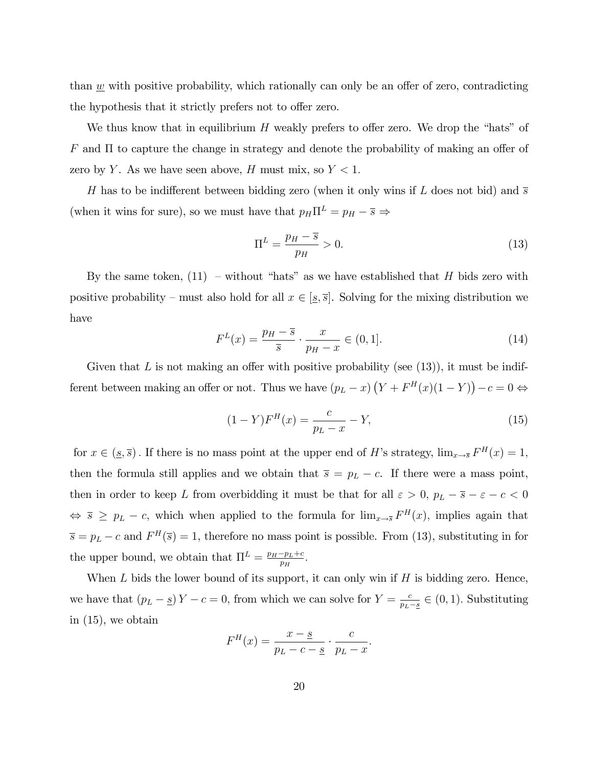than  $w$  with positive probability, which rationally can only be an offer of zero, contradicting the hypothesis that it strictly prefers not to offer zero.

We thus know that in equilibrium  $H$  weakly prefers to offer zero. We drop the "hats" of  $F$  and  $\Pi$  to capture the change in strategy and denote the probability of making an offer of zero by Y. As we have seen above, H must mix, so  $Y < 1$ .

H has to be indifferent between bidding zero (when it only wins if L does not bid) and  $\overline{s}$ (when it wins for sure), so we must have that  $p_H \Pi^L = p_H - \overline{s} \Rightarrow$ 

$$
\Pi^L = \frac{p_H - \overline{s}}{p_H} > 0. \tag{13}
$$

By the same token,  $(11)$  – without "hats" as we have established that H bids zero with positive probability – must also hold for all  $x \in [s, \overline{s}]$ . Solving for the mixing distribution we have

$$
F^{L}(x) = \frac{p_{H} - \overline{s}}{\overline{s}} \cdot \frac{x}{p_{H} - x} \in (0, 1].
$$
 (14)

Given that L is not making an offer with positive probability (see  $(13)$ ), it must be indifferent between making an offer or not. Thus we have  $(p_L - x) (Y + F^H(x)(1 - Y)) - c = 0 \Leftrightarrow$ 

$$
(1 - Y)FH(x) = \frac{c}{p_L - x} - Y,
$$
\n(15)

for  $x \in (\underline{s}, \overline{s})$ . If there is no mass point at the upper end of H's strategy,  $\lim_{x \to \overline{s}} F^H(x) = 1$ , then the formula still applies and we obtain that  $\bar{s} = p_L - c$ . If there were a mass point, then in order to keep L from overbidding it must be that for all  $\varepsilon > 0$ ,  $p_L - \overline{s} - \varepsilon - c < 0$  $\Leftrightarrow \overline{s} \geq p_L - c$ , which when applied to the formula for  $\lim_{x \to \overline{s}} F^H(x)$ , implies again that  $\overline{s} = p_L - c$  and  $F^H(\overline{s}) = 1$ , therefore no mass point is possible. From (13), substituting in for the upper bound, we obtain that  $\Pi^L = \frac{p_H - p_L + c}{p_H}$ .

When  $L$  bids the lower bound of its support, it can only win if  $H$  is bidding zero. Hence, we have that  $(p_L - s)Y - c = 0$ , from which we can solve for  $Y = \frac{c}{p_L}$ .  $\frac{c}{p_L - s} \in (0, 1)$ . Substituting in (15), we obtain

$$
F^{H}(x) = \frac{x - \underline{s}}{p_L - c - \underline{s}} \cdot \frac{c}{p_L - x}.
$$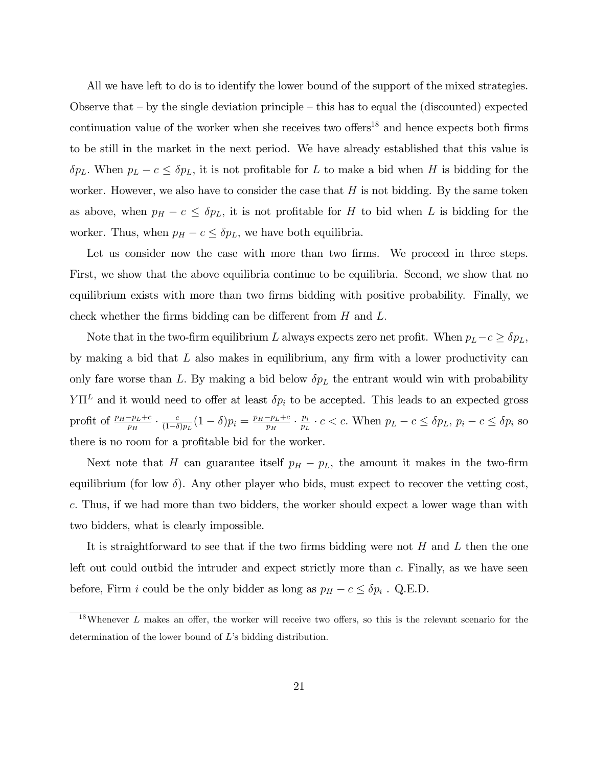All we have left to do is to identify the lower bound of the support of the mixed strategies. Observe that  $-$  by the single deviation principle  $-$  this has to equal the (discounted) expected continuation value of the worker when she receives two offers<sup>18</sup> and hence expects both firms to be still in the market in the next period. We have already established that this value is  $\delta p_L$ . When  $p_L - c \leq \delta p_L$ , it is not profitable for L to make a bid when H is bidding for the worker. However, we also have to consider the case that  $H$  is not bidding. By the same token as above, when  $p_H - c \leq \delta p_L$ , it is not profitable for H to bid when L is bidding for the worker. Thus, when  $p_H - c \leq \delta p_L$ , we have both equilibria.

Let us consider now the case with more than two firms. We proceed in three steps. First, we show that the above equilibria continue to be equilibria. Second, we show that no equilibrium exists with more than two firms bidding with positive probability. Finally, we check whether the firms bidding can be different from  $H$  and  $L$ .

Note that in the two-firm equilibrium L always expects zero net profit. When  $p_L-c \ge \delta p_L$ , by making a bid that  $L$  also makes in equilibrium, any firm with a lower productivity can only fare worse than L. By making a bid below  $\delta p_L$  the entrant would win with probability  $Y\Pi^L$  and it would need to offer at least  $\delta p_i$  to be accepted. This leads to an expected gross profit of  $\frac{p_H-p_L+c}{p_H} \cdot \frac{c}{(1-\delta)}$  $\frac{c}{(1-\delta)p_L}(1-\delta)p_i = \frac{p_H-p_L+c}{p_H} \cdot \frac{p_i}{p_L}$  $\frac{p_i}{p_L} \cdot c < c$ . When  $p_L - c \leq \delta p_L$ ,  $p_i - c \leq \delta p_i$  so there is no room for a profitable bid for the worker.

Next note that H can guarantee itself  $p_H - p_L$ , the amount it makes in the two-firm equilibrium (for low  $\delta$ ). Any other player who bids, must expect to recover the vetting cost, c: Thus, if we had more than two bidders, the worker should expect a lower wage than with two bidders, what is clearly impossible.

It is straightforward to see that if the two firms bidding were not H and L then the one left out could outbid the intruder and expect strictly more than c: Finally, as we have seen before, Firm *i* could be the only bidder as long as  $p_H - c \leq \delta p_i$ . Q.E.D.

 $18$ Whenever L makes an offer, the worker will receive two offers, so this is the relevant scenario for the determination of the lower bound of  $L$ 's bidding distribution.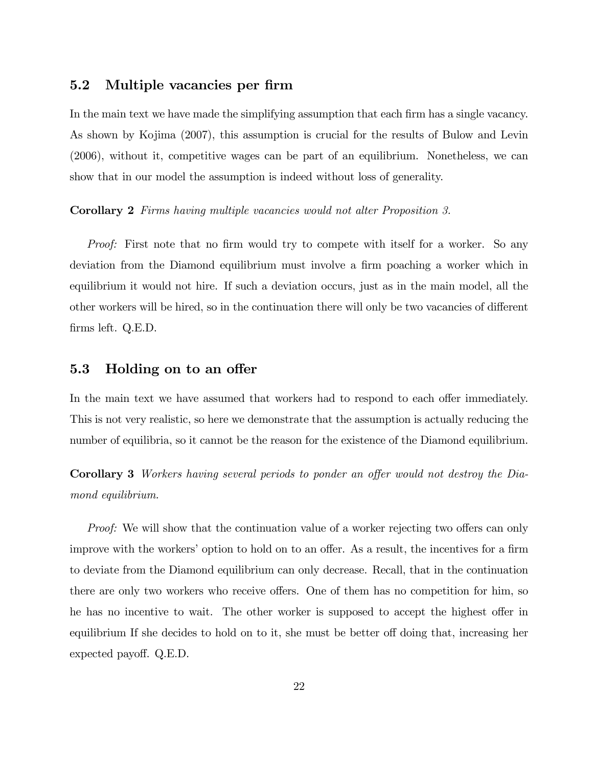## 5.2 Multiple vacancies per firm

In the main text we have made the simplifying assumption that each firm has a single vacancy. As shown by Kojima (2007), this assumption is crucial for the results of Bulow and Levin (2006), without it, competitive wages can be part of an equilibrium. Nonetheless, we can show that in our model the assumption is indeed without loss of generality.

#### Corollary 2 Firms having multiple vacancies would not alter Proposition 3.

Proof: First note that no firm would try to compete with itself for a worker. So any deviation from the Diamond equilibrium must involve a firm poaching a worker which in equilibrium it would not hire. If such a deviation occurs, just as in the main model, all the other workers will be hired, so in the continuation there will only be two vacancies of different firms left. Q.E.D.

### 5.3 Holding on to an offer

In the main text we have assumed that workers had to respond to each offer immediately. This is not very realistic, so here we demonstrate that the assumption is actually reducing the number of equilibria, so it cannot be the reason for the existence of the Diamond equilibrium.

Corollary 3 Workers having several periods to ponder an offer would not destroy the Diamond equilibrium.

*Proof:* We will show that the continuation value of a worker rejecting two offers can only improve with the workers' option to hold on to an offer. As a result, the incentives for a firm to deviate from the Diamond equilibrium can only decrease. Recall, that in the continuation there are only two workers who receive offers. One of them has no competition for him, so he has no incentive to wait. The other worker is supposed to accept the highest offer in equilibrium If she decides to hold on to it, she must be better off doing that, increasing her expected payoff. Q.E.D.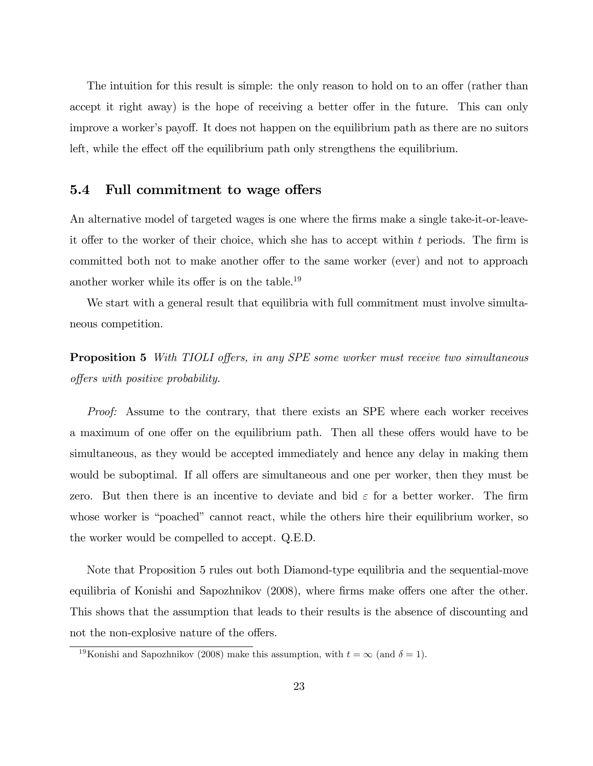The intuition for this result is simple: the only reason to hold on to an offer (rather than accept it right away) is the hope of receiving a better offer in the future. This can only improve a worker's payoff. It does not happen on the equilibrium path as there are no suitors left, while the effect off the equilibrium path only strengthens the equilibrium.

## 5.4 Full commitment to wage offers

An alternative model of targeted wages is one where the firms make a single take-it-or-leaveit offer to the worker of their choice, which she has to accept within t periods. The firm is committed both not to make another offer to the same worker (ever) and not to approach another worker while its offer is on the table.<sup>19</sup>

We start with a general result that equilibria with full commitment must involve simultaneous competition.

**Proposition 5** With TIOLI offers, in any SPE some worker must receive two simultaneous offers with positive probability.

Proof: Assume to the contrary, that there exists an SPE where each worker receives a maximum of one offer on the equilibrium path. Then all these offers would have to be simultaneous, as they would be accepted immediately and hence any delay in making them would be suboptimal. If all offers are simultaneous and one per worker, then they must be zero. But then there is an incentive to deviate and bid  $\varepsilon$  for a better worker. The firm whose worker is "poached" cannot react, while the others hire their equilibrium worker, so the worker would be compelled to accept. Q.E.D.

Note that Proposition 5 rules out both Diamond-type equilibria and the sequential-move equilibria of Konishi and Sapozhnikov (2008), where firms make offers one after the other. This shows that the assumption that leads to their results is the absence of discounting and not the non-explosive nature of the offers.

<sup>&</sup>lt;sup>19</sup>Konishi and Sapozhnikov (2008) make this assumption, with  $t = \infty$  (and  $\delta = 1$ ).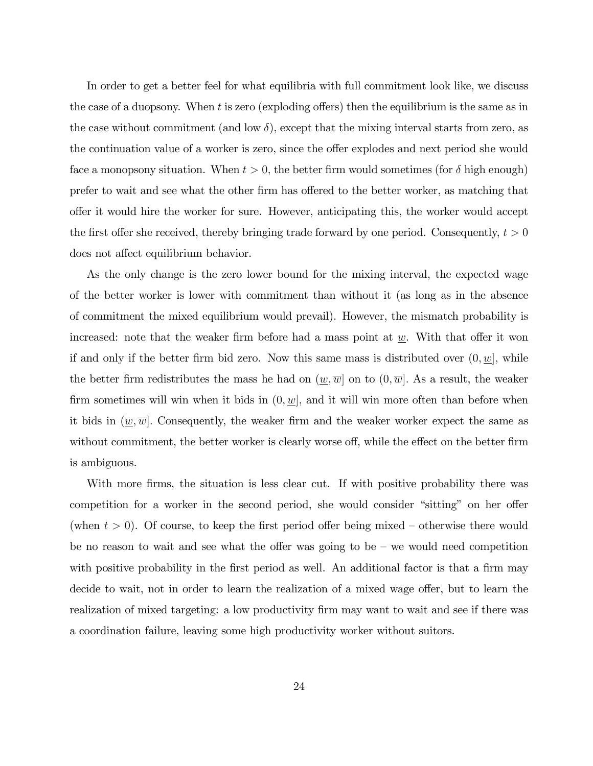In order to get a better feel for what equilibria with full commitment look like, we discuss the case of a duopsony. When t is zero (exploding offers) then the equilibrium is the same as in the case without commitment (and low  $\delta$ ), except that the mixing interval starts from zero, as the continuation value of a worker is zero, since the offer explodes and next period she would face a monopsony situation. When  $t > 0$ , the better firm would sometimes (for  $\delta$  high enough) prefer to wait and see what the other firm has offered to the better worker, as matching that o§er it would hire the worker for sure. However, anticipating this, the worker would accept the first offer she received, thereby bringing trade forward by one period. Consequently,  $t > 0$ does not affect equilibrium behavior.

As the only change is the zero lower bound for the mixing interval, the expected wage of the better worker is lower with commitment than without it (as long as in the absence of commitment the mixed equilibrium would prevail). However, the mismatch probability is increased: note that the weaker firm before had a mass point at  $w$ . With that offer it won if and only if the better firm bid zero. Now this same mass is distributed over  $(0, w]$ , while the better firm redistributes the mass he had on  $(\underline{w}, \overline{w})$  on to  $(0, \overline{w}]$ . As a result, the weaker firm sometimes will win when it bids in  $(0, w]$ , and it will win more often than before when it bids in  $(\underline{w}, \overline{w})$ . Consequently, the weaker firm and the weaker worker expect the same as without commitment, the better worker is clearly worse off, while the effect on the better firm is ambiguous.

With more firms, the situation is less clear cut. If with positive probability there was competition for a worker in the second period, she would consider "sitting" on her offer (when  $t > 0$ ). Of course, to keep the first period offer being mixed – otherwise there would be no reason to wait and see what the offer was going to be  $-$  we would need competition with positive probability in the first period as well. An additional factor is that a firm may decide to wait, not in order to learn the realization of a mixed wage offer, but to learn the realization of mixed targeting: a low productivity firm may want to wait and see if there was a coordination failure, leaving some high productivity worker without suitors.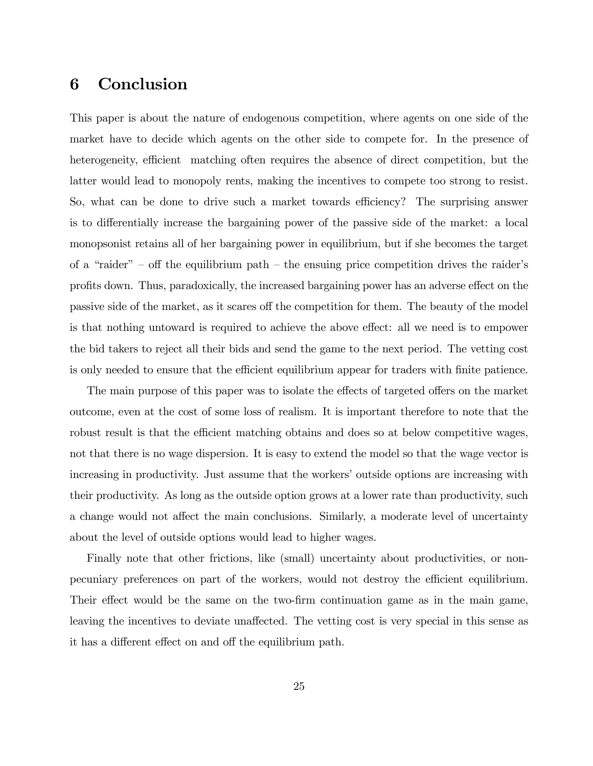## 6 Conclusion

This paper is about the nature of endogenous competition, where agents on one side of the market have to decide which agents on the other side to compete for. In the presence of heterogeneity, efficient matching often requires the absence of direct competition, but the latter would lead to monopoly rents, making the incentives to compete too strong to resist. So, what can be done to drive such a market towards efficiency? The surprising answer is to differentially increase the bargaining power of the passive side of the market: a local monopsonist retains all of her bargaining power in equilibrium, but if she becomes the target of a "raider"  $\sim$  off the equilibrium path  $\sim$  the ensuing price competition drives the raider's profits down. Thus, paradoxically, the increased bargaining power has an adverse effect on the passive side of the market, as it scares of the competition for them. The beauty of the model is that nothing untoward is required to achieve the above effect: all we need is to empower the bid takers to reject all their bids and send the game to the next period. The vetting cost is only needed to ensure that the efficient equilibrium appear for traders with finite patience.

The main purpose of this paper was to isolate the effects of targeted offers on the market outcome, even at the cost of some loss of realism. It is important therefore to note that the robust result is that the efficient matching obtains and does so at below competitive wages, not that there is no wage dispersion. It is easy to extend the model so that the wage vector is increasing in productivity. Just assume that the workers' outside options are increasing with their productivity. As long as the outside option grows at a lower rate than productivity, such a change would not affect the main conclusions. Similarly, a moderate level of uncertainty about the level of outside options would lead to higher wages.

Finally note that other frictions, like (small) uncertainty about productivities, or nonpecuniary preferences on part of the workers, would not destroy the efficient equilibrium. Their effect would be the same on the two-firm continuation game as in the main game, leaving the incentives to deviate unaffected. The vetting cost is very special in this sense as it has a different effect on and off the equilibrium path.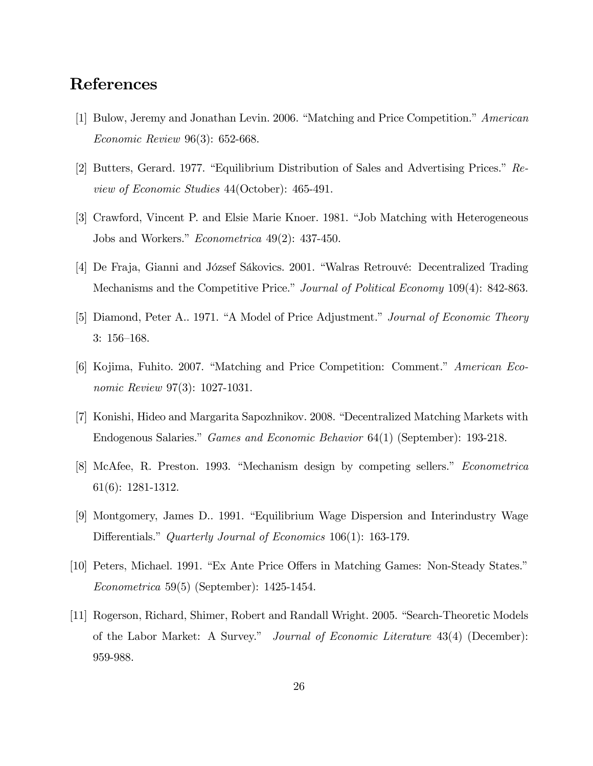## References

- [1] Bulow, Jeremy and Jonathan Levin. 2006. "Matching and Price Competition." American Economic Review 96(3): 652-668.
- $[2]$  Butters, Gerard. 1977. "Equilibrium Distribution of Sales and Advertising Prices." Review of Economic Studies 44(October): 465-491.
- [3] Crawford, Vincent P. and Elsie Marie Knoer. 1981. "Job Matching with Heterogeneous Jobs and Workers."  $Econometrica$  49(2): 437-450.
- [4] De Fraja, Gianni and József Sákovics. 2001. "Walras Retrouvé: Decentralized Trading Mechanisms and the Competitive Price." Journal of Political Economy 109(4): 842-863.
- [5] Diamond, Peter A., 1971. "A Model of Price Adjustment." *Journal of Economic Theory*  $3: 156-168.$
- [6] Kojima, Fuhito. 2007. "Matching and Price Competition: Comment." American Economic Review 97(3): 1027-1031.
- [7] Konishi, Hideo and Margarita Sapozhnikov. 2008. "Decentralized Matching Markets with Endogenous Salaries." Games and Economic Behavior 64(1) (September): 193-218.
- [8] McAfee, R. Preston. 1993. "Mechanism design by competing sellers." Econometrica 61(6): 1281-1312.
- [9] Montgomery, James D., 1991. "Equilibrium Wage Dispersion and Interindustry Wage Differentials." Quarterly Journal of Economics 106(1): 163-179.
- [10] Peters, Michael. 1991. "Ex Ante Price Offers in Matching Games: Non-Steady States." Econometrica 59(5) (September): 1425-1454.
- [11] Rogerson, Richard, Shimer, Robert and Randall Wright. 2005. "Search-Theoretic Models of the Labor Market: A Survey." Journal of Economic Literature 43(4) (December): 959-988.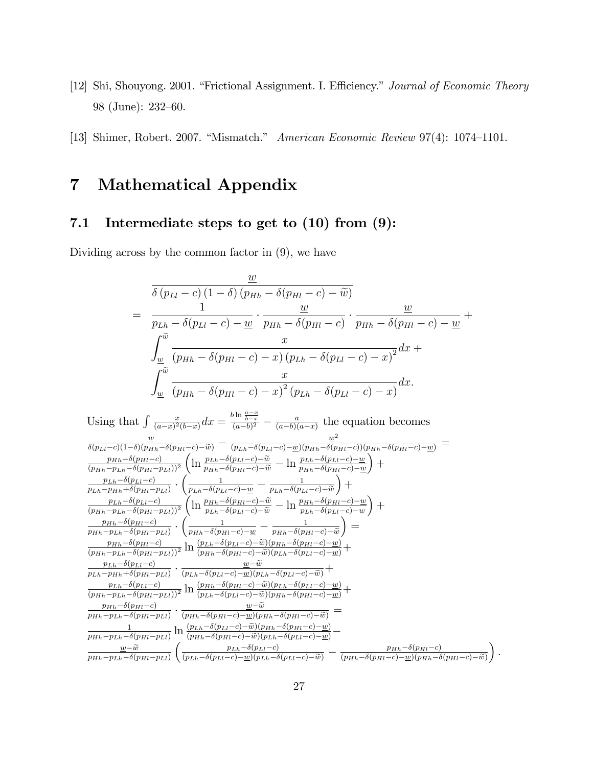- [12] Shi, Shouyong. 2001. "Frictional Assignment. I. Efficiency." *Journal of Economic Theory* 98 (June):  $232-60$ .
- [13] Shimer, Robert. 2007. "Mismatch." American Economic Review 97(4): 1074-1101.

## 7 Mathematical Appendix

## 7.1 Intermediate steps to get to (10) from (9):

Dividing across by the common factor in (9), we have

$$
\frac{\underline{w}}{\delta (p_{Ll} - c) (1 - \delta) (p_{Hh} - \delta (p_{Hl} - c) - \widetilde{w})}
$$
\n
$$
= \frac{1}{p_{Lh} - \delta (p_{Ll} - c) - \underline{w}} \cdot \frac{\underline{w}}{p_{Hh} - \delta (p_{Hl} - c)} \cdot \frac{\underline{w}}{p_{Hh} - \delta (p_{Hl} - c) - \underline{w}} + \frac{\underline{w}}{\int_{\underline{w}}^{\widetilde{w}} \frac{x}{(p_{Hh} - \delta (p_{Hl} - c) - x) (p_{Lh} - \delta (p_{Ll} - c) - x)^2} dx + \int_{\underline{w}}^{\widetilde{w}} \frac{x}{(p_{Hh} - \delta (p_{Hl} - c) - x)^2 (p_{Lh} - \delta (p_{Ll} - c) - x)} dx.
$$

Using that  $\int \frac{x}{(a-x)^2}$  $\frac{x}{(a-x)^2(b-x)}dx = \frac{b\ln\frac{a-x}{b-x}}{(a-b)^2} - \frac{a}{(a-b)(a-x)}$  $\frac{a}{(a-b)(a-x)}$  the equation becomes  $\frac{\omega}{\delta(p_{Ll}-c)(1-\delta)(p_{Hh}-\delta(p_{Hl}-c)-\widetilde{\omega})}-\frac{\omega^2}{(p_{Lh}-\delta(p_{Ll}-c)-\underline{w})(p_{Hh}-\delta(p_{Hl}-c))(p_{Hh}-\delta(p_{Hl}-c)-\underline{w})}=$  $\frac{p_{Hh}-\delta(p_{Hl}-c)}{p_{Hh}-p_{Hh}-c}$  $(p_{Hh}-p_{Lh}-\delta(p_{Hl}-p_{Ll}))^2$  $\left(\ln \frac{p_{Lh}-\delta(p_{Ll}-c)-\widetilde{w}}{p_{Hh}-\delta(p_{Hl}-c)-\widetilde{w}}-\ln \frac{p_{Lh}-\delta(p_{Ll}-c)-\underline{w}}{p_{Hh}-\delta(p_{Hl}-c)-\underline{w}}\right)$  $+$  $p_{Lh}-\delta(p_{Ll}-c)$  $\frac{1}{p_{Lh}-p_{Hh}+\delta(p_{Hl}-p_{Ll})}$ .  $\left(\frac{1}{p_{Lh}-\delta(p_{Ll}-c)-\underline{w}}-\frac{1}{p_{Lh}-\delta(p_{Lh})} \right)$  $p_{Lh}-\delta(p_{Ll}-c)-\widetilde{w}$  $+$  $p_{Lh}-\delta(p_{Ll}-c)$  $(p_{Hh}-p_{Lh}-\delta(p_{Hl}-p_{Ll}))^2$  $\int_{\theta}^{\infty} \ln \frac{p_{Hh} - \delta(p_{Hl} - c) - \tilde{w}}{p_{Lh} - \delta(p_{Ll} - c) - \tilde{w}} - \ln \frac{p_{Hh} - \delta(p_{Hl} - c) - \underline{w}}{p_{Lh} - \delta(p_{Ll} - c) - \underline{w}}$  $+$  $p_{Hh}-\delta(p_{Hl}-c)$  $\frac{p_{Hh}-p_{Lh}-\delta(p_{Hl}-p_{Ll})}{p_{Hh}-p_{Lh}-\delta(p_{Hl}-p_{Ll})}$ .  $\left(\frac{1}{p_{Hh}-\delta(p_{Hl}-c)-\underline{w}}-\frac{1}{p_{Hh}-\delta(p_{Hh}-\delta(p_{Hh}-c))}\right)$  $p_{Hh} - \delta(p_{Hl} - c) - \widetilde{w}$  $\overline{)}$  =  $p_{Hh}-\delta(p_{Hl}-c)$  $\frac{p_{Hh}-\delta(p_{Hl}-c)}{(p_{Hh}-p_{Lh}-\delta(p_{Hl}-p_{Ll}))^2}\ln\frac{(p_{Lh}-\delta(p_{Ll}-c)-\widetilde{w})(p_{Hh}-\delta(p_{Hl}-c)-\underline{w})}{(p_{Hh}-\delta(p_{Hl}-c)-\widetilde{w})(p_{Lh}-\delta(p_{Ll}-c)-\underline{w})}+$  $p_{Lh}-\delta(p_{Ll}-c)$  $\frac{p_{Lh}-\delta(p_{Ll}-c)}{p_{Lh}-p_{Hh}+\delta(p_{Hl}-p_{Ll})}\cdot\frac{\underline{w}-w}{(p_{Lh}-\delta(p_{Ll}-c)-\underline{w})(p_{Lh}-\delta(p_{Ll}-c)-\widetilde{w})}+$  $\underline{w}-\widetilde{w}$  $p_{Lh}-\delta(p_{Ll}-c)$  $\frac{p_{Lh}-\delta(p_{Ll}-c)}{(p_{Hh}-p_{Lh}-\delta(p_{Hl}-p_{Ll}))^2}\ln\frac{(p_{Hh}-\delta(p_{Hl}-c)-\widetilde{w})(p_{Lh}-\delta(p_{Ll}-c)-\underline{w})}{(p_{Lh}-\delta(p_{Hl}-c)-\widetilde{w})(p_{Hh}-\delta(p_{Hl}-c)-\underline{w})}+$  $\frac{p_{Hh}-\delta(p_{Hl}-c)}{s}$  .  $\frac{w-\widetilde{w}}{s}$  $\frac{w-w}{p_{Hh}-p_{Lh}-\delta(p_{Hl}-p_{Ll})}\cdot\frac{w-w}{(p_{Hh}-\delta(p_{Hl}-c)-w)(p_{Hh}-\delta(p_{Hl}-c)-\widetilde{w})}=$ 1  $\frac{1}{p_{Hh}-p_{Lh}-\delta(p_{Hl}-p_{Ll})}\ln\frac{(p_{Lh}-\delta(p_{Ll}-c)-\widetilde{w})(p_{Hh}-\delta(p_{Hl}-c)-\underline{w})}{(p_{Hh}-\delta(p_{Hl}-c)-\widetilde{w})(p_{Lh}-\delta(p_{Ll}-c)-\underline{w})} \frac{w-\widetilde{w}}{p_{Hh}-p_{Lh}-\delta(p_{Hl}-p_{Ll})}$  $\left(\frac{p_{Lh}-\delta(p_{Ll}-c)}{(p_{Lh}-\delta(p_{Ll}-c)-\underline{w})(p_{Lh}-\delta(p_{Ll}-c)-\widetilde{w})}-\frac{p_{Hh}-\delta(p_{Hl}-c)}{(p_{Hh}-\delta(p_{Hl}-c)-\underline{w})(p_{Hh}-\delta(p_{Lh}-c)-\underline{w})(p_{Hh}-\delta(p_{Lh}-c)-\underline{w})(p_{Lh}-\delta(p_{Lh}-c)-\underline{w})(p_{Lh}-\delta(p_{Lh}-c)-\underline{w})(p_{Lh}-\delta(p_{Lh}-c)-\underline{w})(p_{Hh}-\delta(p_{Lh}-c)-\underline{w})(p_{Hh}-\delta(p$  $(p_{Hh}-\delta(p_{Hl}-c)-\underline{w})(p_{Hh}-\delta(p_{Hl}-c)-\widetilde{w})$ 

 $\big).$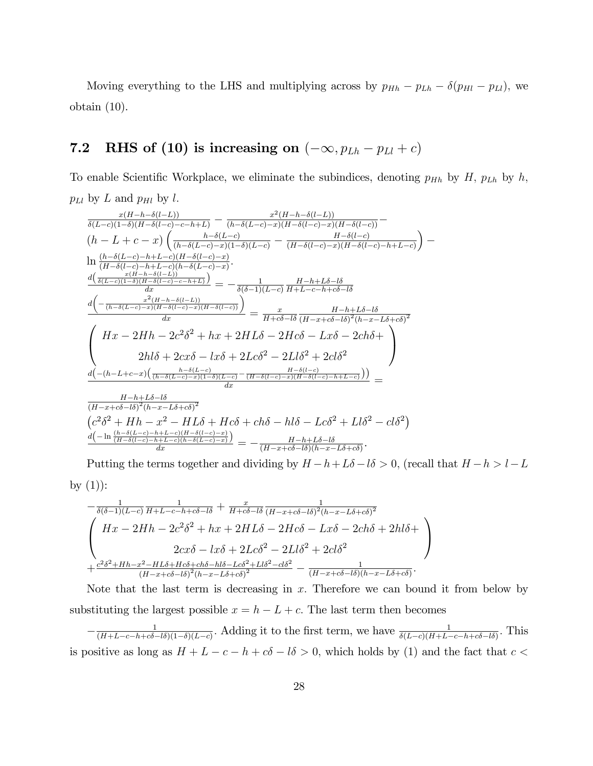Moving everything to the LHS and multiplying across by  $p_{Hh} - p_{Lh} - \delta(p_{Hl} - p_{Ll})$ , we obtain (10).

## 7.2 RHS of (10) is increasing on  $(-\infty, p_{Lh} - p_{Ll} + c)$

To enable Scientific Workplace, we eliminate the subindices, denoting  $p_{Hh}$  by H,  $p_{Lh}$  by h,  $p_{Ll}$  by L and  $p_{Hl}$  by l.

$$
\frac{x(H-h-\delta(l-L))}{\delta(L-c)(1-\delta)(H-\delta(l-c)-c-h+L)} - \frac{x^2(H-h-\delta(l-L))}{(h-\delta(L-c)-x)(H-\delta(l-c)-x)(H-\delta(l-c))} - \frac{H-\delta(l-c)}{(H-\delta(l-c)-x)(H-\delta(l-c)-x)(H-\delta(l-c))} - \frac{H-\delta(l-c)}{(H-\delta(l-c)-h+L-c)(H-\delta(l-c)-x)(H-\delta(l-c)-h+L-c)}) - \frac{H-\delta(l-c)}{(H-\delta(l-c)-h+L-c)(H-\delta(l-c)-x)} - \frac{H-\delta(l-c)}{(H-\delta(l-c)-h+L-c)(H-\delta(l-c)-x)} - \frac{H-\delta(l-c)}{x(H-\delta(l-c)(1-\delta)(H-\delta(l-c)-x))} - \frac{H-\delta(l-1)}{x(H-\delta(l-c)(1-\delta)(H-\delta(l-c)-x))} - \frac{H-\delta(l-1)}{x(H-\delta(l-c)-x)(H-\delta(l-c))} - \frac{H-\delta(l-1)}{x(H-\delta-l\delta)(H-\delta-l\delta)} - \frac{H-\delta(l-1)}{x(H-\delta-l\delta)(H-\delta(l-1))} - \frac{H-\delta(l-1)}{x(H-\delta-l\delta)(H-\delta(l-1))} - \frac{H-\delta(l-1)}{x(H-\delta-l\delta)(H-\delta(l-1))} - \frac{H-\delta(l-1)}{x(H-\delta(l-1))} - \frac{H-\delta(l-1)}{(H-\delta(l-1)-\delta)(H-\delta(l-2))} - \frac{H-\delta(l-1)}{x(H-\delta(l-1))} - \frac{H-\delta(l-1)}{x(H-\delta(l-1))} - \frac{H-\delta(l-1)}{x(H-\delta(l-1))} - \frac{H-\delta(l-1)}{x(H-\delta(l-1))} - \frac{H-\delta(l-1)}{x(H-\delta(l-1))} - \frac{H-\delta(l-1)}{x(H-\delta(l-1))} - \frac{H-\delta(l-1)}{x(H-\delta(l-1))} - \frac{H-\delta(l-1)}{x(H-\delta(l-1))} - \frac{H-\delta(l-1)}{x(H-\delta(l-1))} - \frac{H-\delta(l-1)}{x(H-\delta(l-1))} - \frac{H-\delta(l-1)}{x(H-\delta(l-1))} - \frac{H-\delta(l-1)}{x(H-\delta(l-1))} - \frac{H-\delta(l-1)}{x(H-\delta(l-1))} - \frac{H-\delta(l-1)}{x(H-\delta)(H-\delta)} - \frac{H-\delta(l-
$$

Putting the terms together and dividing by  $H - h + L\delta - l\delta > 0$ , (recall that  $H - h > l - L$ by  $(1)$ :

$$
-\frac{1}{\delta(\delta-1)(L-c)}\frac{1}{H+L-c-h+c\delta-l\delta} + \frac{x}{H+c\delta-l\delta}\frac{1}{(H-x+c\delta-l\delta)^2(h-x-L\delta+c\delta)^2}
$$
\n
$$
\begin{pmatrix}\nHx - 2Hh - 2c^2\delta^2 + hx + 2HL\delta - 2Hc\delta - Lx\delta - 2ch\delta + 2hl\delta + 2cx\delta - lx\delta - 2x\delta + 2Lc\delta^2 - 2Ll\delta^2 + 2cl\delta^2 \\
2cx\delta - lx\delta + 2Lc\delta^2 - 2Ll\delta^2 + 2cl\delta^2 \\
+ \frac{c^2\delta^2 + Hh - x^2 - HL\delta + Hc\delta + ch\delta - hl\delta - Lc\delta^2 + Ll\delta^2 - cl\delta^2}{(H-x+c\delta-l\delta)(h-x-L\delta+c\delta)}.\n\end{pmatrix}
$$

Note that the last term is decreasing in  $x$ . Therefore we can bound it from below by substituting the largest possible  $x = h - L + c$ . The last term then becomes

 $-\frac{1}{(H+L-c-h+c\delta-1)}$  $\frac{1}{(H+L-c-h+c\delta-l\delta)(1-\delta)(L-c)}$ . Adding it to the first term, we have  $\frac{1}{\delta(L-c)(H+L-c-h+c\delta-l\delta)}$ . This is positive as long as  $H + L - c - h + c\delta - l\delta > 0$ , which holds by (1) and the fact that  $c <$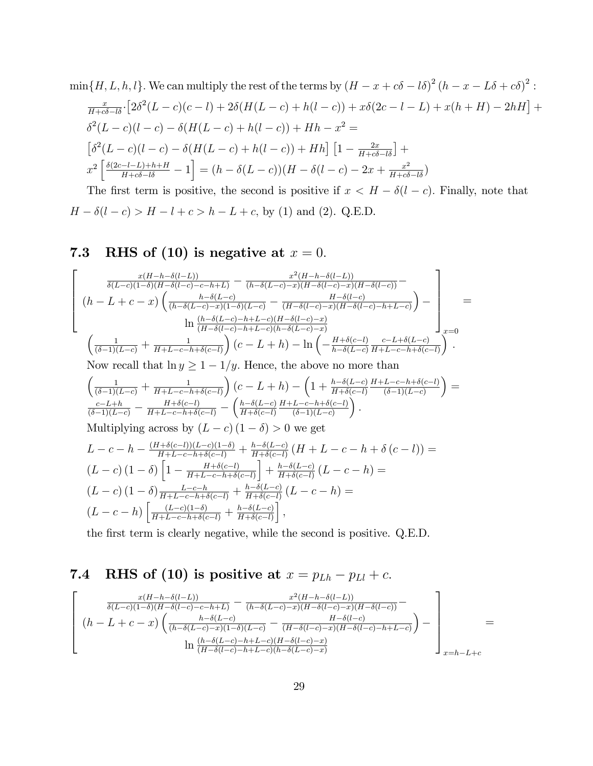$$
\min\{H, L, h, l\}. We can multiply the rest of the terms by  $(H - x + c\delta - l\delta)^2 (h - x - L\delta + c\delta)^2$ :  
\n
$$
\frac{x}{H + c\delta - l\delta} \cdot \left[2\delta^2 (L - c)(c - l) + 2\delta (H(L - c) + h(l - c)) + x\delta (2c - l - L) + x(h + H) - 2hH\right] + \delta^2 (L - c)(l - c) - \delta (H(L - c) + h(l - c)) + Hh - x^2 =
$$
\n
$$
\left[\delta^2 (L - c)(l - c) - \delta (H(L - c) + h(l - c)) + Hh\right] \left[1 - \frac{2x}{H + c\delta - l\delta}\right] +
$$
\n
$$
x^2 \left[\frac{\delta(2c - l - L) + h + H}{H + c\delta - l\delta} - 1\right] = (h - \delta(L - c))(H - \delta(l - c) - 2x + \frac{x^2}{H + c\delta - l\delta})
$$
$$

The first term is positive, the second is positive if  $x < H - \delta(l - c)$ . Finally, note that  $H - \delta(l - c) > H - l + c > h - L + c$ , by (1) and (2). Q.E.D.

## 7.3 RHS of (10) is negative at  $x = 0$ .

$$
\begin{bmatrix}\n\frac{x(H-h-\delta(l-L))}{\delta(L-c)(1-\delta)(H-\delta(l-c)-c-h+L)} - \frac{x^2(H-h-\delta(l-L))}{(h-\delta(L-c)-x)(H-\delta(l-c)-x)(H-\delta(l-c))} \\
(h-L+c-x)\left(\frac{h-\delta(L-c)}{(h-\delta(L-c)-x)(1-\delta)(L-c)} - \frac{H-\delta(l-c)}{(H-\delta(l-c)-x)(H-\delta(l-c)-h+L-c)}\right) - \frac{h}{(H-\delta(l-c)-h+L-c)(H-\delta(l-c)-x)} \\
\frac{h}{(H-\delta(l-c)-h+L-c)(h-\delta(L-c)-x)}\n\frac{\left(\frac{h-\delta(L-c)-h+L-c}{(H-\delta(l-c)-h+L-c)(h-\delta(L-c)-x)}\right)}{\left(\frac{1}{(\delta-1)(L-c)} + \frac{1}{H+L-c-h+\delta(c-l)}\right)(c-L+h) - \ln\left(-\frac{H+\delta(c-l)}{h-\delta(L-c)}\frac{c-L+\delta(L-c)}{H+L-c-h+\delta(c-l)}\right)}.\n\end{bmatrix}
$$

Now recall that  $\ln y \ge 1-1/y$ . Hence, the above no more than

$$
\left(\frac{1}{(\delta-1)(L-c)} + \frac{1}{H+L-c-h+\delta(c-l)}\right)(c-L+h) - \left(1 + \frac{h-\delta(L-c)}{H+\delta(c-l)}\frac{H+L-c-h+\delta(c-l)}{(\delta-1)(L-c)}\right) = \frac{c-L+h}{(\delta-1)(L-c)} - \frac{H+\delta(c-l)}{H+L-c-h+\delta(c-l)} - \left(\frac{h-\delta(L-c)}{H+\delta(c-l)}\frac{H+L-c-h+\delta(c-l)}{(\delta-1)(L-c)}\right).
$$
\nMultiplying across by  $(L-c)$   $(1-\delta) > 0$  we get\n
$$
L-c-h - \frac{(H+\delta(c-l))(L-c)(1-\delta)}{H+L-c-h+\delta(c-l)} + \frac{h-\delta(L-c)}{H+\delta(c-l)}\left(H+L-c-h+\delta(c-l)\right) =
$$
\n
$$
(L-c) (1-\delta) \left[1 - \frac{H+\delta(c-l)}{H+L-c-h+\delta(c-l)}\right] + \frac{h-\delta(L-c)}{H+\delta(c-l)}\left(L-c-h\right) =
$$
\n
$$
(L-c) (1-\delta) \frac{L-c-h}{H+L-c-h+\delta(c-l)} + \frac{h-\delta(L-c)}{H+\delta(c-l)}\left(L-c-h\right) =
$$
\n
$$
(L-c-h) \left[\frac{(L-c)(1-\delta)}{H+L-c-h+\delta(c-l)} + \frac{h-\delta(L-c)}{H+\delta(c-l)}\right],
$$

the first term is clearly negative, while the second is positive. Q.E.D.

# 7.4 RHS of (10) is positive at  $x = p_{Lh} - p_{Ll} + c$ .

$$
\begin{bmatrix}\n\frac{x(H-h-\delta(l-L))}{\delta(L-c)(1-\delta)(H-\delta(l-c)-c-h+L)} - \frac{x^2(H-h-\delta(l-L))}{(h-\delta(L-c)-x)(H-\delta(l-c)-x)(H-\delta(l-c))} \\
(h-L+c-x)\left(\frac{h-\delta(L-c)}{(h-\delta(L-c)-x)(1-\delta)(L-c)} - \frac{H-\delta(l-c)}{(H-\delta(l-c)-x)(H-\delta(l-c)-h+L-c)}\right) - \frac{h-\delta(l-c)}{(H-\delta(l-c)-h+L-c)(H-\delta(l-c)-x)}\n\end{bmatrix}_{x=h-L+c}
$$